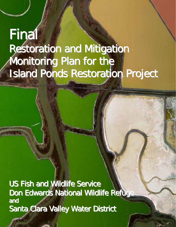# **Final** Restoration and Mitigation Monitoring Plan for the Island Ponds Restoration Project

US Fish and Wildlife Service Don Edwards National Wildlife Refuge and Santa Clara Valley Water District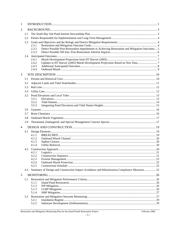| $\mathbf{1}$   |     |                |                                                                                                  |  |  |  |
|----------------|-----|----------------|--------------------------------------------------------------------------------------------------|--|--|--|
| 2              |     |                |                                                                                                  |  |  |  |
|                | 2.1 |                |                                                                                                  |  |  |  |
|                | 2.2 |                |                                                                                                  |  |  |  |
|                | 2.3 |                |                                                                                                  |  |  |  |
|                |     | 2.3.1          |                                                                                                  |  |  |  |
|                |     | 2.3.2<br>2.3.3 | Detect Possible Post-Restoration Impediments to Achieving Restoration and Mitigation Outcomes  5 |  |  |  |
|                | 2.4 |                |                                                                                                  |  |  |  |
|                |     | 2.4.1          |                                                                                                  |  |  |  |
|                |     | 2.4.2          |                                                                                                  |  |  |  |
|                |     | 2.4.3<br>2.4.4 |                                                                                                  |  |  |  |
|                |     |                |                                                                                                  |  |  |  |
| 3              | 3.1 |                |                                                                                                  |  |  |  |
|                |     |                |                                                                                                  |  |  |  |
|                | 3.2 |                |                                                                                                  |  |  |  |
|                | 3.3 |                |                                                                                                  |  |  |  |
|                | 3.4 |                |                                                                                                  |  |  |  |
|                | 3.5 | 3.5.1          |                                                                                                  |  |  |  |
|                |     | 3.5.2          |                                                                                                  |  |  |  |
|                |     | 3.5.3          |                                                                                                  |  |  |  |
|                | 3.6 |                |                                                                                                  |  |  |  |
|                | 3.7 |                |                                                                                                  |  |  |  |
|                | 3.8 |                |                                                                                                  |  |  |  |
|                | 3.9 |                |                                                                                                  |  |  |  |
| $\overline{4}$ |     |                |                                                                                                  |  |  |  |
|                | 4.1 |                |                                                                                                  |  |  |  |
|                |     | 4.1.1          |                                                                                                  |  |  |  |
|                |     | 4.1.2<br>4.1.3 |                                                                                                  |  |  |  |
|                |     | 4.1.4          |                                                                                                  |  |  |  |
|                | 4.2 |                |                                                                                                  |  |  |  |
|                |     | 4.2.1          |                                                                                                  |  |  |  |
|                |     | 4.2.2          |                                                                                                  |  |  |  |
|                |     | 4.2.3<br>4.2.4 |                                                                                                  |  |  |  |
|                |     | 4.2.5          |                                                                                                  |  |  |  |
|                | 4.3 |                | Summary of Design and Construction Impact Avoidance and Minimization Compliance Measures 22      |  |  |  |
| 5              |     |                |                                                                                                  |  |  |  |
|                | 5.1 |                |                                                                                                  |  |  |  |
|                |     | 5.1.1          |                                                                                                  |  |  |  |
|                |     | 5.1.2<br>5.1.3 |                                                                                                  |  |  |  |
|                |     | 5.1.4          |                                                                                                  |  |  |  |
|                | 5.2 |                |                                                                                                  |  |  |  |
|                |     | 5.2.1          |                                                                                                  |  |  |  |
|                |     | 5.2.2          |                                                                                                  |  |  |  |

#### Restoration and Mitigation Monitoring Plan for the Island Ponds Restoration Project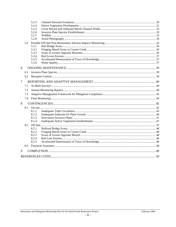|                |     | 5.2.3 |  |  |
|----------------|-----|-------|--|--|
|                |     | 5.2.4 |  |  |
|                |     | 5.2.5 |  |  |
|                |     | 5.2.6 |  |  |
|                |     | 5.2.7 |  |  |
|                |     | 5.2.8 |  |  |
|                | 5.3 |       |  |  |
|                |     | 5.3.1 |  |  |
|                |     | 5.3.2 |  |  |
|                |     | 5.3.3 |  |  |
|                |     | 5.3.4 |  |  |
|                |     | 5.3.5 |  |  |
|                |     | 5.3.6 |  |  |
| 6              |     |       |  |  |
|                | 6.1 |       |  |  |
|                | 6.2 |       |  |  |
| $\overline{7}$ |     |       |  |  |
|                | 7.1 |       |  |  |
|                | 7.2 |       |  |  |
|                | 7.3 |       |  |  |
|                | 7.4 |       |  |  |
| 8              |     |       |  |  |
|                | 8.1 |       |  |  |
|                |     | 8.1.1 |  |  |
|                |     | 8.1.2 |  |  |
|                |     | 8.1.3 |  |  |
|                |     | 8.1.4 |  |  |
|                | 8.2 |       |  |  |
|                |     | 8.2.1 |  |  |
|                |     | 8.2.2 |  |  |
|                |     | 8.2.3 |  |  |
|                |     | 8.2.4 |  |  |
|                |     | 8.2.5 |  |  |
|                | 8.3 |       |  |  |
| 9              |     |       |  |  |
|                |     |       |  |  |
|                |     |       |  |  |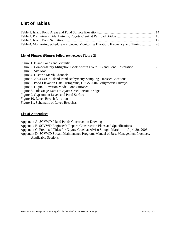# **List of Tables**

| Table 4. Monitoring Schedule – Projected Monitoring Duration, Frequency and Timing 28 |  |
|---------------------------------------------------------------------------------------|--|

#### **List of Figures (Figures follow text except Figure 2)**

Figure 1. Island Ponds and Vicinity

Figure 2. Compensatory Mitigation Goals within Overall Island Pond Restoration …………..…..5

- Figure 3. Site Map
- Figure 4. Historic Marsh Channels

Figure 5. 2004 USGS Island Pond Bathymetry Sampling Transect Locations

Figure 6. Pond Elevation Data Histograms, USGS 2004 Bathymetric Surveys

Figure 7. Digital Elevation Model Pond Surfaces

Figure 8. Tide Stage Data at Coyote Creek UPRR Bridge

Figure 9. Gypsum on Levee and Pond Surface

Figure 10. Levee Breach Locations

Figure 11. Schematic of Levee Breaches

#### **List of Appendices**

Appendix A. SCVWD Island Ponds Construction Drawings

Appendix B. SCVWD Engineer's Report, Construction Plans and Specifications

Appendix C. Predicted Tides for Coyote Creek at Alviso Slough, March 1 to April 30, 2006

Appendix D. SCVWD Stream Maintenance Program, Manual of Best Management Practices, Applicable Sections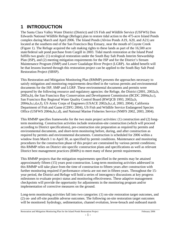# **1 INTRODUCTION**

The Santa Clara Valley Water District (District) and US Fish and Wildlife Service (USFWS) Don Edwards National Wildlife Refuge (Refuge) plan to restore tidal action to the 475-acre Island Ponds complex during March and April 2006. The Island Ponds (Alviso Ponds A19, A20, and A21) are located at the southern end of the San Francisco Bay Estuary, near the mouth of Coyote Creek (Figure 1). The Refuge acquired the salt making rights to these lands as part of the 16,500 acre state/federal salt pond purchase from Cargill in 2003. Tidal marsh restoration at the Island Pond fulfills two goals: (1) ecological restoration under the South Bay Salt Ponds Interim Stewardship Plan (ISP), and (2) meeting mitigation requirements for the ISP and for the District's Stream Maintenance Program (SMP) and Lower Guadalupe River Project (LGRP). An added benefit will be that lessons learned through this restoration project can be applied to the South Bay Salt Pond Restoration Project (SBSP).

This Restoration and Mitigation Monitoring Plan (RMMP) presents the approaches necessary to satisfy mitigation and monitoring requirements described in the various permits and environmental documents for the ISP, SMP and LGRP. These environmental documents and permits were prepared by the following resource and regulatory agencies: the Refuge, the District (2001, 2002a,b, 2005a,b), the San Francisco Bay Conservation and Development Commission (BCDC 2004a,b,c), San Francisco Bay Regional Water Quality Control Board (RWQCB 1993, 2002a,b, 2004a,b,c,d,e,f), US Army Corps of Engineers (USACE 2002a,b,c,d, 2003, 2004), California Department of Fish and Game (CDFG 2004), US Fish and Wildlife Service Endangered Species Office (USFWS 2004a,b,c,d), and National Marine Fisheries Service (NMFS 2002, 2003, 2004).

This RMMP specifies frameworks for the two main project activities: (1) construction and (2) longterm monitoring. Construction activities include restoration-site construction (which will proceed according to District specifications), pre-construction site preparation as required by permits and environmental documents, and short-term monitoring before, during, and after construction as required by permits and environmental documents. Construction is scheduled for 2006 within a window from March 1 to April 30, as specified by permit conditions. Maintenance and monitoring procedures for the construction phase of this project are constrained by various permit conditions; this RMMP relies on District site-specific construction plans and specifications as well as relevant District best management practices (BMPs) to meet many of these permit requirements.

This RMMP projects that the mitigation requirements specified in the permits may be attained approximately fifteen (15) years post-construction. Long-term monitoring activities addressed in this RMMP will take place from the time of construction to fifteen years after construction with further monitoring required if performance criteria are not met in fifteen years. Throughout the 15 year period, the District and Refuge will hold a series of interagency discussions at key progress milestones to evaluate project status and monitoring effectiveness. These adaptive management checkpoints will provide the opportunity for adjustments in the monitoring program and/or implementation of corrective measures on the ground.

Long-term monitoring activities fall into two categories: (1) on-site restoration target outcomes, and (2) on- and off-site possible adverse outcomes. The following on-site restoration target outcomes will be monitored: hydrology, sedimentation, channel evolution, levee-breach and outboard marsh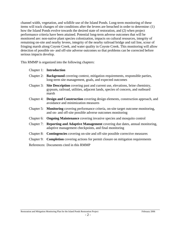channel width, vegetation, and wildlife use of the Island Ponds. Long-term monitoring of these items will track changes of site conditions after the levees are breached in order to determine: (1) how the Island Ponds evolve towards the desired state of restoration, and (2) when project performance criteria have been attained. Potential long-term adverse outcomes that will be monitored are: non-native plant species colonization, impacts on cultural resources, integrity of remaining on-site and nearby levees, integrity of the nearby railroad bridge and rail line, scour of fringing marsh along Coyote Creek, and water quality in Coyote Creek. This monitoring will allow detection of possible on- and off-site adverse outcomes so that problems can be corrected before serious impacts develop.

This RMMP is organized into the following chapters:

- Chapter 1: **Introduction**
- Chapter 2: **Background** covering context, mitigation requirements, responsible parties, long-term site management, goals, and expected outcomes
- Chapter 3: **Site Description** covering past and current use, elevations, brine chemistry, gypsum, railroad, utilities, adjacent lands, species of concern, and outboard marsh
- Chapter 4: **Design and Construction** covering design elements, construction approach, and avoidance and minimization measures
- Chapter 5: **Monitoring** covering performance criteria, on-site target outcome monitoring, and on- and off-site possible adverse outcomes monitoring
- Chapter 6: **Ongoing Maintenance** covering invasive species and mosquito control
- Chapter 7: **Reporting and Adaptive Management** covering due dates, annual monitoring, adaptive management checkpoints, and final monitoring
- Chapter 8: **Contingencies** covering on-site and off-site possible corrective measures
- Chapter 9: **Completion** covering actions for permit closure on mitigation requirements
- References: Documents cited in this RMMP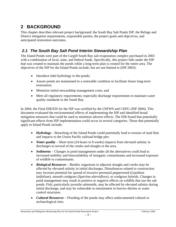# **2 BACKGROUND**

This chapter describes relevant project background: the South Bay Salt Ponds ISP, the Refuge and District mitigation requirements, responsible parties, the project goals and objectives, and anticipated restoration outcomes.

# *2.1 The South Bay Salt Pond Interim Stewardship Plan*

The Island Ponds were part of the Cargill South Bay salt evaporation complex purchased in 2003 with a combination of local, state, and federal funds. Specifically, this project falls under the ISP that was created to maintain the ponds while a long-term plan is created for the entire area. The objectives of the ISP for the Island Ponds include, but are not limited to (ISP 2003):

- Introduce tidal hydrology to the ponds;
- Assure ponds are maintained in a restorable condition to facilitate future long-term restoration;
- Minimize initial stewardship management costs; and
- Meet all regulatory requirements; especially discharge requirements to maintain water quality standards in the South Bay.

In 2004, the Final EIR/EIS for the ISP was certified by the USFWS and CDFG (ISP 2004). This document evaluated the environmental effects of implementing the ISP and identified broad mitigation measures that could be used to minimize adverse effects. The EIR found that potentially significant effects from ISP implementation could occur in several categories. Those that potentially apply to Island Ponds include:

- *Hydrology* Breaching of the Island Ponds could potentially lead to erosion of mud flats and impacts to the Union Pacific railroad bridge pier.
- *Water quality* Short term (24 hours to 8 weeks) impacts from elevated salinity in discharges to several of the creeks and sloughs in the area.
- *Sediments* Changes in pond management under all the alternatives could lead to increased mobility and bioavailability of inorganic contaminants and increased exposure of wildlife to contaminants.
- *Biological Resources* Benthic organisms in adjacent sloughs and creeks may be affected by elevated salinity in initial discharges. Disturbances related to construction may increase potential for spread of invasive perennial pepperweed (*Lepidium latifolium*), smooth cordgrass (*Spartina alterniflora*), or cordgrass hybrids. Changes in pond management may result in positive or negative effects on wildlife that use the salt ponds. Fish, particularly juvenile salmonids, may be affected by elevated salinity during initial discharge, and may be vulnerable to entrainment in borrow ditches or water control structures.
- *Cultural Resources* Flooding of the ponds may affect undocumented cultural or archaeological sites.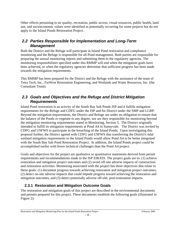Other effects pertaining to air quality, recreation, public access, visual resources, public health, land use, and socioeconomic values were identified as potentially occurring for some projects but do not apply to the Island Ponds Restoration Project.

#### *2.2 Parties Responsible for Implementation and Long-Term Management*

Both the District and the Refuge will participate in Island Pond restoration and compliance monitoring and the Refuge is responsible for all Pond management. Both parties are responsible for preparing the annual monitoring reports and submitting them to the regulatory agencies. The monitoring responsibilities specified under this RMMP will end when the mitigation goals have been achieved, or when the regulatory agencies determine that sufficient progress has been made towards the mitigation requirements.

This RMMP has been prepared for the District and the Refuge with the assistance of the team of Tetra Tech, Inc., FarWest Restoration Engineering, and Wetlands and Water Resources, Inc. (the Consultant Team).

#### *2.3 Goals and Objectives and the Refuge and District Mitigation Requirements*

Island Pond restoration is an activity of the South Bay Salt Ponds ISP and it fulfills mitigation requirements for the Refuge and CDFG under the ISP and for District under the SMP and LGRP. Beyond the mitigation requirements, the District and Refuge are under no obligation to ensure that the balance of the Ponds re-vegetate to any degree, nor are they responsible for monitoring beyond the mitigation monitoring requirements stated in Monitoring, Section 5. The District originally intended to fulfill its mitigation requirements at Pond A4 in Sunnyvale. The District was invited by CDFG and USFWS to participate in the breaching of the Island Ponds. Upon investigating this proposal further, the District agreed with CDFG and USFWS that transferring the District's tidal wetland mitigation requirements to the Island Ponds would allow Pond A4 to be better integrated with the South Bay Salt Pond Restoration Project. In addition, the Island Ponds project could be accomplished earlier with fewer technical challenges than the Pond A4 project.

Goals and objectives for the project are qualitative or quantitative statements derived from permit requirements and recommendations made in the ISP EIR/EIS. The project goals are to: (1) achieve restoration and mitigation project outcomes and (2) avoid off-site adverse impacts of construction and restoration activities. Monitoring associated with the project has three objectives that relate to these goals: (1) document progress towards achieving restoration and mitigation project outcomes, (2) detect on-site adverse impacts that could impede progress toward achieving the restoration and mitigation outcomes, and (3) detect potentially adverse off-site, post-restoration impacts.

### **2.3.1 Restoration and Mitigation Outcome Goals**

The restoration and mitigation goals of this project are described in the environmental documents and permits prepared for this project. These documents establish the following goals (illustrated in Figure 2):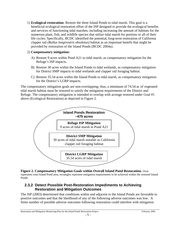1) **Ecological restoration:** Restore the three Island Ponds to tidal marsh. This goal is a beneficial ecological restoration effort of the ISP designed to provide the ecological benefits and services of functioning tidal marshes, including increasing the amount of habitats for the numerous plant, fish, and wildlife species that utilize tidal marsh for portions or all of their life cycles. Specifically, BCDC identified the potential, long-term restoration of California clapper rail *(Rallus longirostris obsoletus)* habitat as an important benefit that might be provided by restoration of the Island Ponds (BCDC 2004a).

#### 2) **Compensatory mitigation:**

- A) Restore 9 acres within Pond A21 to tidal marsh, as compensatory mitigation for the Refuge's ISP impacts.
- B) Restore 30 acres within the Island Ponds to tidal wetlands, as compensatory mitigation for District SMP impacts to tidal wetlands and clapper rail foraging habitat.
- C) Restore 35.54 acres within the Island Ponds to tidal marsh, as compensatory mitigation for the District's LGRP impacts.

The compensatory mitigation goals are non-overlapping; thus, a minimum of 74.54 ac of vegetated tidal marsh habitat must be restored to satisfy the mitigation requirements of the District and Refuge. The compensatory mitigation is intended to overlap with acreage restored under Goal #1 above (Ecological Restoration) as depicted in Figure 2.



**Figure 2. Compensatory Mitigation Goals within Overall Island Pond Restoration.** Oval represents total Island Pond area; rectangles represent mitigation requirements to be achieved within the restored Island Ponds.

#### **2.3.2 Detect Possible Post-Restoration Impediments to Achieving Restoration and Mitigation Outcomes**

The ISP (2003) determined that conditions within and adjacent to the Island Ponds are favorable to positive outcomes and that the likelihood of any of the following adverse outcomes was low. A finite number of possible adverse outcomes following restoration could interfere with mitigation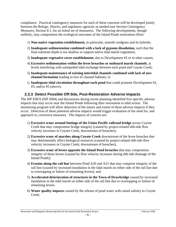compliance. Practical contingency measures for each of these concerns will be developed jointly between the Refuge, District, and regulatory agencies as needed (see Section Contingency Measures, Section 8.1, for an initial set of measures). The following developments, though unlikely, may compromise the ecological outcomes of the Island Ponds restoration effort:

- 1) **Non-native vegetation establishment,** in particular, smooth cordgrass and its hybrids;
- 2) **Inadequate sedimentation combined with a lack of gypsum dissolution,** such that the final substrate depth is too shallow to support native tidal marsh vegetation;
- 3) **Inadequate vegetative cover establishment**, due to Development #2 or to other causes;
- 4) **Excessive sedimentation within the levee breaches or outboard marsh channels**, at levels interfering with unimpeded tidal exchange between each pond and Coyote Creek;
- 5) **Inadequate maintenance of existing intertidal channels combined with lack of new channel formation** leading to loss of channel habitats; or
- 6) **Inadequate tidal circulation throughout each pond** that could promote Development #2, #3, and/or #5 (above).

#### **2.3.3 Detect Possible Off-Site, Post-Restoration Adverse Impacts**

The ISP EIR/S (ISP 2004) and discussions during recent planning identified five specific adverse impacts that may occur near the Island Ponds following their restoration to tidal action. The monitoring program will allow detection of the nature and extent of these adverse impacts if they occur. Detection of these potential adverse impacts would trigger evaluation of the need for, and approach to, corrective measures. The impacts of concern are:

- 1) **Excessive scour around footings of the Union Pacific railroad bridge** across Coyote Creek that may compromise bridge integrity (caused by project-related ebb-tide flow velocity increases in Coyote Creek, downstream of breaches);
- 2) **Excessive scour of marshes along Coyote Creek** downstream of the levee breaches that may detrimentally affect biological resources (caused by project-related ebb-tide flow velocity increases in Coyote Creek, downstream of breaches);
- 3) **Excessive scour of levees opposite the Island Pond breaches** that may compromise integrity of those levees (caused by flow velocity increases during ebb tide drainage of the Island Ponds);
- 4) **Erosion along the rail line** between Pond A20 and A21 that may comprise integrity of the rail line (caused by increased inundation in the tidal marsh on either side of the rail line due to overtopping or failure of remaining levees); and
- 5) **Accelerated deterioration of structures in the Town of Drawbridge** caused by increased inundation in the tidal marsh on either side of the rail line due to overtopping or failure of remaining levees.
- 6) **Water quality impacts** caused by the release of pond water with raised salinity to Coyote Creek.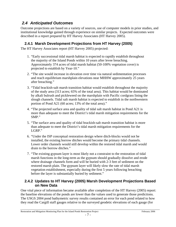### *2.4 Anticipated Outcomes*

Outcome projections are based on a variety of sources, use of computer models in prior studies, and institutional knowledge gained through experience on similar projects. Expected outcomes were described in a report prepared by HT Harvey Associates (HT Harvey 2005).

### **2.4.1 Marsh Development Projections from HT Harvey (2005)**

The HT Harvey Associates report (HT Harvey 2005) projected:

- 1. "Early successional tidal marsh habitat is expected to rapidly establish throughout the majority of the Island Ponds within 10 years after levee breaching. Approximately 374 acres of tidal marsh habitat (50-100% vegetation cover) is projected to establish by Year-10."
- 2. "The site would increase in elevation over time via natural sedimentation processes and reach equilibrium marshplain elevations near MHHW approximately 25 years after breaching."
- 3. "Tidal brackish-salt marsh transition habitat would establish throughout the majority of the study area (313 acres; 65% of the total area). This habitat would be dominated by alkali bulrush and pickleweed on the marshplain with Pacific cordgrass lining the slough channels. Tidal salt marsh habitat is expected to establish in the northwestern portion of Pond A21 (60 acres; 13% of the total area)."
- 4. "The projected surface area and quality of tidal salt marsh habitat in Pond A21 is more than adequate to meet the District's tidal marsh mitigation requirements for the SMP."
- 5. "The surface area and quality of tidal brackish-salt marsh transition habitat is more than adequate to meet the District's tidal marsh mitigation requirements for the LGRP."
- 6. "Under the ISP conceptual restoration design where ditch-blocks would not be installed, the existing borrow ditches would become the primary tidal channels. Lower order channels would still develop within the restored tidal marsh and would drain to the borrow ditches."
- 7. "The existing gypsum layer is most likely not a constraint to the restoration of tidal marsh functions in the long-term as the gypsum should gradually dissolve and erode where drainage channels form and will be buried with 2-3 feet of sediment on the restored marsh plain. The gypsum layer will likely slow the rate of tidal marsh vegetation establishment, especially during the first 5 years following breaching before the layer is substantially buried by sediment."

#### **2.4.2 Updates to HT Harvey (2005) Marsh Development Projections Based on New Data**

One vital piece of information became available after completion of the HT Harvey (2005) report: the baseline elevations of the ponds are lower than the values used to generate those predictions. The USGS 2004 pond bathymetric survey results contained an error for each pond related to how they read the Cargill staff gauges relative to the surveyed geodetic elevations of each gauge (for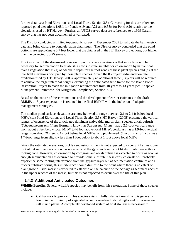further detail *see* Pond Elevations and Local Tides, Section 3.5). Correcting for this error lowered reported pond elevations 1.08ft for Ponds A19 and A21 and 0.58ft for Pond A20 relative to the elevations used by HT Harvey. Further, all USGS survey data are referenced to a 1999 Cargill survey that has not been documented or validated.

The District conducted a limited topographic survey in December 2005 to validate the bathymetric data and bring closure to pond elevation data issues. The District survey concluded that the pond bottoms are approximate 0.7 feet lower that the data used in the HT Harvey projections, but higher than the corrected USGS survey.

The key effect of the downward revision of pond surface elevations is that more time will be necessary for sedimentation to establish a new substrate suitable for colonization by native tidal marsh vegetation that is (a) of adequate depth for the root zones of these plant species and (b) at the intertidal elevations occupied by these plant species. Given the 0.2ft/year sedimentation rate prediction used by HT Harvey (2005), approximately an additional three (3) years will be required to achieve the target intertidal heights, extending the anticipated time frame for the Island Ponds Restoration Project to reach the mitigation requirements from 10 years to 13 years (*see* Adaptive Management Framework for Mitigation Compliance, Section 7.3).

Based on the nature of these estimations and the development of earlier estimates in the draft RMMP, a 15 year expectation is retained in the final RMMP with the inclusion of adaptive management strategies.

The median pond surface elevations are now believed to range between 2.1 to 2.4 ft below local MHW (*see* Pond Elevations and Local Tides, Section 3.5). HT Harvey (2005) presented the vertical ranges of occurrence of the anticipated dominant native tidal marsh plant species: alkali bulrush (*Schoenoplectus maritimus* [formerly known as *Scirpus maritimus*]) has a 2.5-foot vertical range from about 2 feet below local MHW to ½ foot above local MHW; cordgrass has a 1.9-foot vertical range from about 2½ feet to ½ foot below local MHW, and pickleweed (*Salicornia virginica*) has a 1.7-foot range from slightly less than 1 foot below to about 1 foot above local MHW.

Given the estimated elevations, pickleweed establishment is not expected to occur until at least one foot of net sediment accretion has occurred and the gypsum layer is not likely to interfere with its rooting zone. However, colonization by cordgrass and alkali bulrush is expected to occur as soon as enough sedimentation has occurred to provide some substrate; these early colonists will probably experience some rooting interference from the gypsum layer but as sedimentation continues and a thicker substrate forms, this interference should diminish to the point where there is no effect on plant growth. Tidal marsh is expected to establish on the balance of the acreage as sediment accrues in the upper reaches of the marsh, but this is not expected to occur over the life of this plan.

### **2.4.3 Additional Anticipated Outcomes**

**Wildlife Benefits.** Several wildlife species may benefit from this restoration. Some of those species include:

• **California clapper rail**. This species exists in fully tidal salt marsh, and is generally found in the proximity of vegetated or semi-vegetated tidal sloughs and fully-vegetated salt marsh plains. A completely developed system of tidal sloughs is necessary to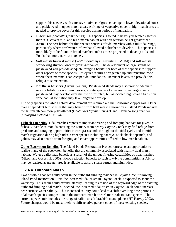support this species, with extensive native cordgrass coverage in lower elevational zones and pickleweed in upper marsh areas. A fringe of vegetative cover in high-marsh areas is needed to provide cover for this species during periods of inundation.

- **Black rail** (*Laterallus jamaicensis*). This species is found in heavily vegetated (greater than 90% cover) mid- and high-marsh habitat with a vegetation height greater than 30cm. The best habitat for this species consists of tidal marshes with a full tidal range, particularly where freshwater inflow has allowed bulrushes to develop. This species is more likely to be found in broad marshes such as those projected to develop at Island Ponds than more narrow marshes.
- **Salt marsh harvest mouse** (*Reithrodontomys raviventris*; SMHM) and **salt marsh wandering shrew** (*Sorex vagrans halicoetes*). The development of large stands of pickleweed will provide adequate foraging habitat for both of these species; to support other aspects of these species' life-cycles requires a vegetated upland transition zone where these mammals can escape tidal inundation. Remnant levees can provide this refugia to some extent.
- **Northern harriers** (*Circus cyaneus*). Pickleweed stands may also provide adequate nesting habitat for northern harriers, a state species of concern. Some large stands of pickleweed may develop over the life of this plan, but associated high-marsh transition zone habitat formation may take longer to develop.

The only species for which habitat development are required are the California clapper rail. Other marsh dependent bird species that may benefit from tidal marsh restoration in Island Ponds include the salt marsh common yellowthroat *(Geothlypis trychis sinuosa)*, and Alameda song sparrow *(Melospiza melodia pusillula).*

**Fisheries Benefits.** Tidal marshes represent important rearing and foraging habitats for juvenile fishes. Juvenile salmonids entering the Estuary from nearby Coyote Creek may find refuge from predators and foraging opportunities in cordgrass stands throughout the tidal cycle, and in midmarsh vegetation during high tides. Other species including bat rays, stickleback, topsmelt, and gobies may also benefit from foraging and cover opportunities offered in low-marsh habitat.

**Other Ecosystem Benefits.** The Island Ponds Restoration Project represents an opportunity to realize many of the ecosystem benefits that are commonly associated with healthy tidal marsh habitat. Water quality may benefit as a result of the unique filtering capabilities of tidal marshes (Mitsch and Gosselink 2000). Flood reduction benefits to such low-lying communities as Alviso may be realized as greater area is available to absorb storm surges and high tides.

### **2.4.4 Outboard Marsh**

Two possible changes could occur in the outboard fringing marshes in Coyote Creek following Island Pond Restoration. First, the increased tidal prism in Coyote Creek is expected to scour the waterway. This scour could extend laterally, leading to erosion of the bayward edge of the existing outboard fringing tidal marsh. Second, the increased tidal prism in Coyote Creek could increase near-surface water salinity. This increased salinity could lead to a shift over long time periods in tidal marsh species composition in the outboard marsh toward more salt-tolerant species. The current species mix includes the range of saline to salt-brackish marsh plants (HT Harvey 2003). Future changes would be most likely to shift relative percent cover of these existing species.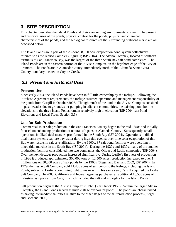# **3 SITE DESCRIPTION**

This chapter describes the Island Ponds and their surrounding environmental context. The present and historical uses of the ponds, physical context for the ponds, physical and chemical characteristics of the ponds, and the biological resources of the surrounding outboard marsh are all described below.

The Island Ponds are a part of the 25-pond, 8,300 acre evaporation pond system collectively referred to as the Alviso Complex (Figure 1; ISP 2004). The Alviso Complex, located at southern terminus of San Francisco Bay, was the largest of the three South Bay salt pond complexes. The Island Ponds are in the eastern portion of the Alviso Complex, on the bayshore edge of the City of Fremont. The Ponds are in Alameda County, immediately north of the Alameda-Santa Clara County boundary located in Coyote Creek.

### *3.1 Present and Historical Uses*

#### **Present Use**

Since early 2003, the Island Ponds have been in full title ownership by the Refuge. Following the Purchase Agreement requirements, the Refuge assumed operation and management responsibility of the ponds from Cargill in October 2005. Though much of the land in the Alviso Complex subsided in past decades due to groundwater pumping in adjacent communities, the existing pond bottom elevations in the three Island Ponds remain relatively high in elevation (ISP 2004; *see* Pond Elevations and Local Tides, Section 3.5).

#### **Use for Salt Production**

Commercial solar salt production in the San Francisco Estuary began in the mid 1850s and initially focused on enhancing production of natural salt pans in Alameda County. Subsequently, small operations in diked tidal marshes proliferated in the South Bay (ISP 2004). Operations in diked tidal marsh systems capture bay water during high tide events; over time solar evaporation of this Bay water results in salt crystallization. By the 1900s, 37 salt pond facilities were operating in diked tidal marshes in the South Bay (ISP 2004). During the 1920s and 1930s, many of the smaller production facilities consolidated into two companies, the Oliver and Leslie companies (ISP 2004). Over the next decades production increased significantly. During Leslie's first year of production in 1936 it produced approximately 300,000 tons on 12,500 acres; production increased to over 1 million tons on 50,000 acres of salt ponds by the 1960s (Siegel and Bachand 2002, ISP 2004). In 1979, the Leslie Salt Company sold 11,430 acres of salt ponds to the Refuge, including the Island Ponds, subject to Leslie's continuing right to make salt. This same year, Cargill acquired the Leslie Salt Company. In 2003, California and federal agencies purchased an additional 16,500 acres of industrial salt ponds from Cargill, which included the salt making rights for the Island Ponds.

Salt production began at the Alviso Complex in 1929 (Ver Planck 1958). Within the larger Alviso Complex, the Island Ponds served as middle stage evaporator ponds. The ponds are characterized as having intermediate salinities relative to the other stages of the salt production process (Siegel and Bachand 2002).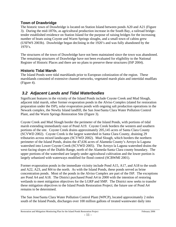#### **Town of Drawbridge**

The historic town of Drawbridge is located on Station Island between ponds A20 and A21 (Figure 3). During the mid-1870s, as agricultural production increase in the South Bay, a railroad bridgetender established residence on Station Island for the purpose of raising bridges for the increasing number of boats using Coyote and Warm Springs sloughs, and a small town of cabins grew (USFWS 2003b). Drawbridge began declining in the 1920's and was fully abandoned by the  $1970's.$ 

The structures of the town of Drawbridge have not been maintained since the town was abandoned. The remaining structures of Drawbridge have not been evaluated for eligibility to the National Register of Historic Places and there are no plans to preserve these structures (ISP 2004).

#### **Historic Tidal Marsh**

The Island Ponds were tidal marshlands prior to European colonization of the region. These marshlands consisted of extensive channel networks, vegetated marsh plain and intertidal mudflats (Figure 4).

### *3.2 Adjacent Lands and Tidal Waterbodies*

Significant features in the vicinity of the Island Ponds include Coyote Creek and Mud Slough, adjacent tidal marsh, other former evaporation ponds in the Alviso Complex (slated for restoration preparation under the ISP), solar evaporation ponds with ongoing salt production operations in the Newark complex, the Newby Island landfill, the San Jose/Santa Clara Water Pollution Control Plant, and the Warm Springs Restoration Site (Figure 3).

Coyote Creek and Mud Slough border the perimeter of the Island Ponds, with portions of tidal marsh extending immediately east of Pond A19. Coyote Creek borders the western and southern portions of the site. Coyote Creek drains approximately 205,145 acres of Santa Clara County (SCVWD 2002). Coyote Creek is the largest watershed in Santa Clara County, draining 29 tributaries across mixed landscapes (SCVWD 2002). Mud Slough, which borders the northern perimeter of the Island Ponds, drains the 47,636 acres of Alameda County's Arroyo la Laguna watershed into Lower Coyote Creek (SCVWD 2005). The Arroyo la Laguna watershed drains the west-facing slopes of the Diablo Range, north of the Alameda-Santa Clara county boundary. The upper portions of the watershed are largely under agricultural cultivation and the lower portion is largely urbanized with waterways modified for flood control (SCBWMI 2001).

Former evaporation ponds in the immediate vicinity include Pond A15, A17, and A18 to the south and A22, A23, and M4 to the north. As with the Island Ponds, these ponds served as brine concentration ponds. Most of the ponds in the Alviso Complex are part of the ISP. The exceptions are Pond A4 and A18. The District purchased Pond A4 in 2000 with the intention of restoring wetlands to meet mitigation objectives for the LGRP and SMP. The District now seeks to transfer these mitigation objectives to the Island Ponds Restoration Project; the future use of Pond A4 remains to be determined.

The San Jose/Santa Clara Water Pollution Control Plant (WPCP), located approximately 2 miles south of the Island Ponds, discharges over 100 million gallons of treated wastewater daily into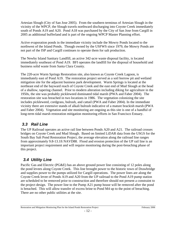Artesian Slough (City of San Jose 2005). From the southern terminus of Artesian Slough in the vicinity of the WPCP, the Slough travels northward discharging into Coyote Creek immediately south of Ponds A19 and A20. Pond A18 was purchased by the City of San Jose from Cargill in 2005 as additional bufferland and is part of the ongoing WPCP Master Planning effort.

Active evaporation ponds in the immediate vicinity include the Mowry Ponds located to the northwest of the Island Ponds. Though owned by the USFWS since 1979, the Mowry Ponds are not part of the ISP and Cargill continues to operate them for salt production.

The Newby Island Sanitary Landfill, an active 342-acre waste disposal facility, is located immediately southeast of Pond A19. BFI operates the landfill for the disposal of household and business solid waste from Santa Clara County.

The 220-acre Warm Springs Restoration site, also known as Coyote Creek Lagoon, is immediately east of Pond A19. The restoration project served as a soil borrow pit and wetland mitigation site for the adjacent business park development. Warm Springs is located at the northeast end of the bayward reach of Coyote Creek and the east end of Mud Slough at the head of a shallow, tapering channel. Prior to modern alteration including diking for agriculture in the 1950s, the site was probably pickleweed dominated tidal marsh (PWA and Faber 2004). The restoration site was breached in two locations in 1986. The vegetation colonizing the site includes pickleweed, cordgrass, bulrush, and cattail (PWA and Faber 2004). In the immediate vicinity there are extensive stands of alkali bulrush indicative of a mature brackish marsh (PWA and Faber 2004). Vegetation and site monitoring are ongoing as this site is one of a handful of long-term tidal marsh restoration mitigation monitoring efforts in San Francisco Estuary.

### *3.3 Rail Line*

The UP Railroad operates an active rail line between Ponds A20 and A21. The railroad crosses bridges on Coyote Creek and Mud Slough. Based on limited LiDAR data from the USGS for the South Bay Salt Pond Restoration Project, the average elevation along the railroad line ranges from approximately 9.8-13.1ft NAVD88. Flood and erosion protection of the UP rail line is an important project requirement and will require monitoring during the post-breaching phase of this project.

### *3.4 Utility Line*

Pacific Gas and Electric (PG&E) has an above ground power line consisting of 12 poles along the pond levees along Coyote Creek. This line brought power to the historic town of Drawbridge and supplies power to the pumps utilized for Cargill operations. The power lines are along the Coyote Creek levee of Ponds A19 and A20 from the UP railroad to the Pond A19 pump station are scheduled to be removed prior to construction and therefore should not present a constraint to the project design. The power line to the Pump A21 pump house will be removed after the pond is breached. This will allow transfer of excess brine to Pond M4 up to the point of breaching. There are no other public utilities at the site.

#### Restoration and Mitigation Monitoring Plan for the Island Ponds Restoration Project February 2006  $-12$  -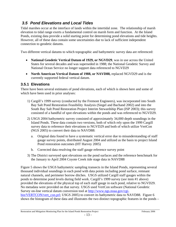### *3.5 Pond Elevations and Local Tides*

Tidal marshes occur at the interface of lands within the intertidal zone. The relationship of marsh elevation to tidal range exerts a fundamental control on marsh form and function. At the Island Ponds, existing data provide a solid starting point for determining pond elevations and tide heights. However, all of these data contain some uncertainties due to lack of sufficient independent connection to geodetic datums.

Two different vertical datums to which topographic and bathymetric survey data are referenced:

- **National Geodetic Vertical Datum of 1929, or NGVD29**, was in use across the United States for several decades and was superseded in 1988; the National Geodetic Survey and National Ocean Service no longer support data referenced to NGVD29
- **North American Vertical Datum of 1988, or NAVD88,** replaced NGVD29 and is the currently supported federal vertical datum.

### **3.5.1 Elevations**

There have been several estimates of pond elevations, each of which is shown here and some of which have been used in prior analyses:

- 1) Cargill's 1999 survey (conducted by the Fremont Engineers), was incorporated into South Bay Salt Pond Restoration Feasibility Analysis (Siegel and Bachand 2002) and into the South Bay Salt Pond Restoration Project Interim Stewardship Plan (ISP 2003); this survey consisted of a handful of spot elevations within the ponds and was referenced to NGVD29.
- 2) USGS 2004 bathymetric survey consisted of approximately 34,000 depth soundings in the Island Ponds. These data contain two versions, both of which rely upon the 1999 Cargill survey data to reference their elevations to NGVD29 and both of which utilize VertCon (NGS 2005) to convert their data to NAVD88:
	- a. Original data found to have a systematic vertical error due to misunderstanding of staff gauge survey points, distributed August 2004 and utilized as the basis to project Island Pond restoration outcomes (HT Harvey 2005)
	- b. Corrected data resolving the staff gauge reference survey point
- 3) The District surveyed spot elevations on the pond surfaces and the reference benchmark for the January to April 2004 Coyote Creek tide stage data in NAVD88

Figure 5 shows the USGS bathymetric sampling transects in the Island Ponds, representing several thousand individual soundings in each pond with data points including pond surface, remnant natural channels, and perimeter borrow ditches. USGS utilized Cargill staff gauges within the ponds to determine pond levels during field work. Cargill's 1999 survey (*see* item #1 above) provided the elevations of the physical top of each staff gauge in each pond, relative to NGVD29. No metadata were provided on that survey. USGS used VertCon software (National Geodetic Survey on-line vertical datum conversion tool at http://www.ngs.noaa.gov/cgibin/VERTCON/vert\_con.prl; USGS 2005) to convert its bathymetric data to NAVD88. Figure 6 shows the histogram of these data and illustrates the two distinct topographic features in the ponds –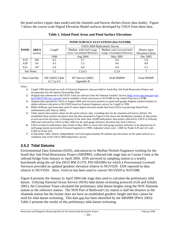the pond surface (upper data mode) and the channels and borrow ditches (lower data mode). Figure 7 shows the coarse-scale Digital Elevation Model surfaces developed by USGS from these data.

|               |                 | <b>POND SURFACE ELEVATIONS (feet NAVD88)</b> |                                  |                              |                        |
|---------------|-----------------|----------------------------------------------|----------------------------------|------------------------------|------------------------|
|               |                 |                                              | USGS 2004 Bathymetric Survey     |                              |                        |
| <b>POND</b>   | AREA<br>(acres) | Cargill                                      | Median with Staff Gauge          | Median with Corrected Staff  | District Spot          |
|               |                 |                                              | Error, Unvalidated Reference     | Gauge, Unvalidated Reference | <b>Elevation Check</b> |
|               |                 | 1999                                         | Aug 2004                         | May 2005                     | Dec 2005               |
| A19           | 265             | 4.5                                          | 5.7                              | 4.6                          | 5.0                    |
| A20           | 63              | 4.5                                          | 5.2                              | 4.6                          | 4.8                    |
| A21           | 147             | 5.0                                          | 6.0                              | 4.9                          | 5.3                    |
|               | See Notes:      | 1,2                                          | 2,3,4,5                          | 2,5,6                        |                        |
| Data Used By: |                 | ISP (2003) Table<br>4.1.7 $p.4-5$            | HT Harvey $(2005)$<br>Appendix B | Draft RMMP                   | <b>Final RMMP</b>      |

#### **Table 1. Island Pond Areas and Pond Surface Elevations**

Notes:

1) Cargill 1999 data based on work of Fremont Engineers; data provided to South Bay Salt Pond Restoration Project and incorporated into the Interim Stewardship Plan.

2) Original data referenced to NGVD29; VertCon software from the National Geodetic Survey (http://www.ngs.noaa.gov/cgibin/VERTCON/vert\_con.prl) used to establish a fixed conversion to NAVD88 for the Island Pond area of 2.7ft.

3) Original data reported by USGS in August 2004 used incorrect position on pond staff gauges (highest marked number) to obtain reference elevation in NGVD29 based on Fremont Engineers survey for Cargill in 1999.

4) Philip Williams and Associates used 25-meter digital elevation model data from USGS in projecting Island Pond sedimentation (HT Harvey 2005).

5) Table reports data *median* values for the pond surfaces only, excluding data for the channels and borrow ditches. We established these *median* elevations from the data presented in Figure 6 that shows the distribution (number of data points at each surveyed elevation, or histogram) of the more than 34,000 bathymetric data points collected by USGS in February 2004 and corrected by USGS in May 2005 for the staff gauge reference elevation (see Note 6 below).

6) USGS revised its bathymetric data results in May 2005 to correct the staff gauge position reference to be physical top of staff gauge (point surveyed by Fremont Engineers in 1999). Adjusted values were -1.08ft for Ponds A19 and A21 and - 0.58ft for Pond A20.

7) In December 2005, District independently surveyed approximately 60 random spot elevations on the pond surfaces as a validation step of the USGS 2004 bathymetric survey.

#### **3.5.2 Tidal Datums**

Environmental Data Solutions (EDS), subcontractor to Moffatt-Nichols Engineers working for the South Bay Salt Pond Restoration Project (SBSPRP), collected tide stage data in Coyote Creek at the railroad bridge from January to April 2004. EDS surveyed its sampling station to a nearby benchmark along the rail line (NGS BM Z1370, PID HS4389) for which a Processional Licensed Surveyor provided an updated geodetic elevation relative to NGVD29. EDS reported its data relative to NGVD29. Here, VertCon has been used to convert NGVD29 to NAVD88.

Figure 8 presents the January to April 2004 tide stage data used to calculate the preliminary tidal datum. Utilizing National Ocean Service (NOS) tidal datum reckoning protocols (Gill and Schultz 2001), the Consultant Team calculated the preliminary tidal datum heights using the NOS Alameda station as the reference station. The NOS Port of Redwood City station is half the distance as the Alameda station but the former does not have an established geodetic height and thus cannot be used for tidal datum reckoning. This data gap has been identified by the SBSPRP (PWA 2005). Table 2 presents the results of this preliminary tidal datum reckoning.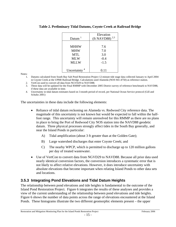|                          | Elevation          |  |  |
|--------------------------|--------------------|--|--|
| Datum $1$                | 2,3<br>(ft NAVD88) |  |  |
|                          |                    |  |  |
| <b>MHHW</b>              | 7.6                |  |  |
| <b>MHW</b>               | 7.0                |  |  |
| MTL                      | 3.0                |  |  |
| <b>MLW</b>               | $-0.4$             |  |  |
| MLLW                     | $-1.5$             |  |  |
|                          |                    |  |  |
| Uncertainty <sup>4</sup> | 0.11               |  |  |

#### **Table 2. Preliminary Tidal Datums, Coyote Creek at Railroad Bridge**

Notes:

- 1. Datums calculated from South Bay Salt Pond Restoration Project 12-minute tide stage data collected January to April 2004 in Coyote Creek at the UPRR Railroad Bridge. Calculations used Alameda (NOS 941-4750) as reference station.
- 2. VertCon used to convert all data from NGVD29 to NAVD88.
- 3. These data will be updated for the Final RMMP with December 2005 District survey of reference benchmark to NAVD88, if these data are available in time.
- 4. Uncertainty in tidal datum estimates based on 3-month period of record, per National Ocean Service protocol (Gill and Schultz 2001)

The uncertainties in these data include the following elements:

- Reliance of tidal datum reckoning on Alameda vs. Redwood City reference data. The magnitude of this uncertainty is not known but would be expected to fall within the halffoot range. This uncertainty will remain unresolved for this RMMP as there are no plans in place to bring the Port of Redwood City NOS station into the NAVD88 geodetic datum. Three physical processes strongly affect tides in the South Bay generally, and near the Island Ponds in particular:
	- A) Tidal amplification (about 3 ft greater than at the Golden Gate);
	- B) Large watershed discharges that enter Coyote Creek; and
	- C) The nearby WPCP, which is permitted to discharge up to 120 million gallons per day of treated wastewater.
- Use of VertCon to convert data from NGVD29 to NAVD88. Because all prior data used nearly identical conversion factors, the conversion introduces a systematic error that is not likely to affect relative elevations. However, it does introduce uncertainty with absolute elevations that become important when relating Island Ponds to other data sets and locations.

#### **3.5.3 Integrating Pond Elevations and Tidal Datum Heights**

The relationship between pond elevations and tide heights is fundamental to the outcome of the Island Pond Restoration Project. Figure 6 integrates the results of these analyses and provides a view of the current understanding of the relationship between pond elevations and tide heights. Figure 6 shows the number of data points across the range of elevations encountered at the Island Ponds. These histograms illustrate the two different geomorphic elements present – the upper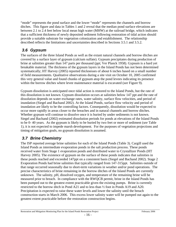"mode" represents the pond surface and the lower "mode" represents the channels and borrow ditches. This figure and data in Tables 1 and 2 reveal that the median pond surface elevations are between 2.1 to 2.4 feet below local mean high water (MHW) at the railroad bridge, which indicates that a sufficient thickness of newly deposited sediment following restoration of tidal action should provide a suitable substrate for vegetation colonization and establishment. The relationship described reflects the limitations and uncertainties described in Sections 3.5.1 and 3.5.2.

# *3.6 Gypsum*

The surfaces of the three Island Ponds as well as the extant natural channels and borrow ditches are covered by a surface layer of gypsum (calcium sulfate). Gypsum precipitates during production of brine at salinities greater than 147 parts per thousand (ppt; Ver Planck 1958). Gypsum is a hard yet breakable material. The thickness of the gypsum layers in the Island Ponds has not been determined systematically; HT Harvey (2005) reported thicknesses of about 6 inches based on a small number of field measurements. Qualitative observations during a site visit on October 10, 2005 confirmed this very general value and found chunks of gypsum atop the pond levees indicating its presence within the borrow ditches where levee maintenance material is excavated (*see* Figure 9).

Gypsum dissolution is anticipated once tidal action is restored to the Island Ponds, but the rate of this dissolution is not known. Gypsum dissolution occurs at salinities below 147 ppt and the rate of dissolution depends on water exchange rates, water salinity, surface flow velocities, and period of inundation (Siegel and Bachand 2002). At the Island Ponds, surface flow velocity and period of inundation are likely to be the controlling factors. Consequently, dissolution would be expected to occur more rapidly in areas closer to the breaches and in natural channels and borrow ditches. Whether gypsum will continue to dissolve once it is buried by under sediments is not known. Siegel and Bachand (2002) estimated dissolution periods for ponds at elevations of the Island Ponds to be 0- 40 years. As the gypsum is likely to be buried by two feet or more of sediment (*see* Table 1), it is not expected to impede marsh development. For the purposes of vegetation projections and timing of mitigation goals, no gypsum dissolution is assumed.

# *3.7 Brine Chemistry*

The ISP reported average brine salinities for each of the Island Ponds (Table 3). Cargill used the Island Ponds as intermediate evaporation ponds in the salt production process. These ponds received water from Stage 1 evaporation ponds and distributed water to Crystallizer Ponds (HT Harvey 2005). The existence of gypsum on the surface of these ponds indicates that salinities in these ponds reached and exceeded 147ppt on a consistent basis (Siegel and Bachand 2002). Stage 2 Evaporation Ponds had brine salinities that typically ranged from 147-315ppt. Salinities outside of that range occurred seasonally due to short-term variations in weather and/or pond operations. The precise characteristics of brine remaining in the borrow ditches of the Island Ponds are currently unknown. The salinity, pH, dissolved oxygen, and temperature of the remaining brine will be measured prior to breach. In compliance with the RWQCB permit, brine in the Island Ponds has been pumped out to the greatest extent practicable given the existing pumps. Brine is currently restricted to the borrow ditch in Pond A21 and to less than ½ foot in Ponds A19 and A20. Precipitation is expected to raise these water levels and lower the salinity until the breach construction starts in March 2006. This excess lower salinity water will be pumped out again to the greatest extent practicable before the restoration construction begins.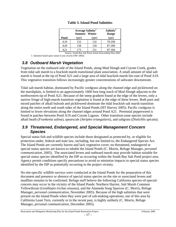|      |       | Average Salinity <sup>1</sup><br><b>Summer</b> Winter |        |
|------|-------|-------------------------------------------------------|--------|
| Pond | (ppt) | (ppt)                                                 | (ppt)  |
| A19  | 152   | 132                                                   | 79-290 |
| A20  | 158   | 139                                                   | 87-289 |
| A21  | 173   | 151                                                   | 87-304 |

#### **Table 3. Island Pond Salinities**

Source: South Bay Salt Pond, Initial Stewardship Plan 2003 1. Salinities based upon values 6 year record (1997-2003).

# *3.8 Outboard Marsh Vegetation*

Vegetation on the outboard side of the Island Ponds, along Mud Slough and Coyote Creek, grades from tidal salt marsh to a brackish marsh transitional plant association. A small amount of tidal salt marsh is found at the tip of Pond A21 and a large area of tidal brackish marsh lies east of Pond A19. This vegetative transition follows increasingly greater concentrations of saltwater downstream.

Tidal salt marsh habitat, dominated by Pacific cordgrass along the channel edge and pickleweed on the marshplain, is limited to an approximately 1600 foot long reach of Mud Slough adjacent to the northwestern tip of Pond A21. Because of the steep gradient found at the edge of the levees, only a narrow fringe of high-marsh transition vegetation is found at the edge of these levees. Both pure and mixed patches of alkali bulrush and pickleweed dominate the tidal brackish salt marsh transition along the entire north and south sides of the Island Ponds (HT Harvey 2005). Pacific cordgrass is limited to lower elevations along the channel edges around Pond A21. Perennial pepperweed is found in patches between Pond A19 and Coyote Lagoon. Other transition-zone species include alkali heath (*Frankenia salina*), spearscale (*Atriplex triangularis*), and saltgrass (*Distichlis spicata*).

### *3.9 Threatened, Endangered, and Special Management Concern Species*

Special status fish and wildlife species include those designated as protected by, or eligible for protection under, federal and state law, including, but not limited to, the Endangered Species Act. The Island Ponds are currently barren and lack vegetative cover; no threatened, endangered or special status species are known to inhabit the Island Ponds (C. Morris, Refuge Manager, *personal communication*, 2005). The associated levees and outboard marsh may provide habitat suitable for special status species identified by the ISP as occurring within the South Bay Salt Pond project area. Agency permit conditions specify precautions to avoid or minimize impacts to special status species identified by the ISP as potentially occurring in the project vicinity.

No site-specific wildlife surveys were conducted at the Island Ponds for the preparation of this document and presence or absence of special status species on the site or associated levees and mudflats remains to be confirmed. Refuge staff believe the following California species-of-specialconcern may occur in the vicinity of the Island Ponds: Northern Harrier, Salt Marsh Common Yellowthroat (*Geothlypis trichas sinuosa*), and the Alameda Song Sparrow (C. Morris, Refuge Manager, *personal communication*, November 2005). Because of the high salinities that were present on the Island Ponds when they were part of salt-making operations, use of this area by California Least Tern, currently or in the recent past, is highly unlikely (C. Morris, Refuge Manager, *personal communication*, December 2005).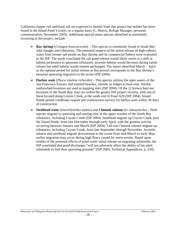California clapper rail and black rail are expected to benefit from this project but neither has been found in the Island Pond Vicinity on a regular basis (C. Morris, Refuge Manager, *personal communication*, November 2005). Additional special status species identified as potentially occurring in the project, include:

- **Bay shrimp** (*Crangon franciscorum*) This species is commonly found in South Bay tidal sloughs and tributaries. The potential impacts of the initial release of high-salinity water from former salt ponds on Bay shrimp and its commercial fishery were evaluated in the ISP. The study concluded the salt pond release would likely result in a shift in habitat preference to upstream tributaries; juvenile habitat would decrease during initial release but adult habitat would remain unchanged. The report identified March – April as the optimal period for initial release as this period corresponds to the Bay shrimp's seasonal spawning migration to the ocean (ISP 2004).
- **Harbor seals** (*Phoca vitulina richardsi*) This species utilizes the open waters of the San Francisco Estuary and isolated beaches, islands, or ledges as haul-outs. Similar undisturbed locations are used as pupping sites (ISP 2004). Of the 12 known haul out locations in the South Bay, four are within the greater ISP project vicinity, with one of these located along Coyote Creek, at the south end of Pond A20 (ISP 2004). Island Ponds permit conditions require pre-construction surveys for harbor seals within 30 days of construction.
- **Steelhead trout** (*Oncorhynchus mykiss*) and **Chinook salmon** (*O. tshawytscha*) Both species migrate to spawning and rearing sites in the upper reaches of the South Bay tributaries, including Coyote Creek (ISP 2004). Steelhead migrate up Coyote Creek, past the Island Ponds, from late December through early April, with the greatest activity occurring between January and March (ISP 2004). Fall-run Chinook salmon migrate up tributaries, including Coyote Creek, from late-September through November. Juvenile salmon and steelhead migrate downstream to the ocean from mid-March to early May, earlier migration may occur during high flows caused by storm events. Based upon studies of the potential effects of pond water initial release on migrating salmonids, the ISP concluded that pond discharges "will not adversely affect the ability of the adult salmonids to find their spawning grounds" (ISP 2004, Technical Appendices, p. 220).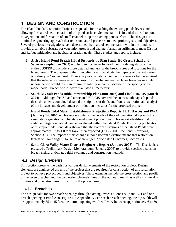# **4 DESIGN AND CONSTRUCTION**

The Island Ponds Restoration Project design calls for breaching the existing ponds levees and allowing for natural sedimentation of the pond surface. Sedimentation is intended to lead to pond re-vegetation and formation of small channels atop the existing pond surface. This design is a minimal-engineering approach that relies on natural processes to meet project goals and objectives. Several previous investigations have determined that natural sedimentation within the ponds will provide a suitable substrate for vegetation growth and channel formation sufficient to meet District and Refuge mitigation and habitat restoration goals. These studies and reports include:

- **1. Alviso Island Pond Breach Initial Stewardship Plan Study, Ed Gross, Schaff and Wheeler (September 2003) –** Schaff and Wheeler focused their modeling study of the entire SBSPRP to include a more detailed analysis of the breach sizes and locations for the Island Ponds. The purpose of their modeling was to evaluate the impacts of the restoration on salinity in Coyote Creek. Their analysis evaluated a number of scenarios but determined that the relatively conservative scenario of somewhat undersized levee breaches in a July release period would result in minimum salinity impacts. Because of the spacing of the model nodes, breach widths were evaluated at 25 meters;
- **2. South Bay Salt Ponds Initial Stewardship Plan (June 2003) and Final EIR/EIS (March 2004) –** Although the ISP and associated EIR/EIS covered the entire south bay salt ponds, these documents contained detailed descriptions of the Island Ponds restoration and analysis of the impacts and development of mitigation measures for the proposed project;
- **3. Island Ponds Tidal Marsh Establishment Projections Reports, H. T. Harvey and PWA (January 14, 2005) –** This report contains the details of the sedimentation along with the associated vegetation and habitat development projections. This report identifies that suitable mitigation habitat can be developed within the Island Ponds. Following publication of this report, additional data showed that the bottom elevations of the Island Ponds were approximately 0.7 to 1.0 foot lower then expected (USGS 2005; *see* Pond Elevations, Section 3.5). The impact of this change in pond bottom elevation means that restoration targets will take slightly longer to achieve (*see* Anticipated Outcomes, Section 2.4).
- **4. Santa Clara Valley Water District Engineer's Report (January 2006)** The District has prepared a Preliminary Design Memorandum (January 2006) to provide specific details on breach sizing, anticipated tidal exchange and construction methods.

# *4.1 Design Elements*

This section presents the basis for various design elements of the restoration project. Design elements are engineered aspects of the project that are required for construction of this restoration project to achieve project goals and objectives. These elements include the cross-section and profile of the levee breaches and the connection channels through the outboard marsh as well as removal of utilities and other structures critical from the project area.

### **4.1.1 Breaches**

The design calls for two breach openings through existing levees at Ponds A19 and A21 and one breach opening at Pond A20 (Figure 10; Appendix A). For each breach opening, the top width will be approximately 35 to 45 feet, the bottom opening width will vary between approximately 6 to 30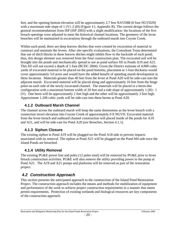feet, and the opening bottom elevation will be approximately 2.7 feet NAVD88 (0 foot NGVD29) with a maximum side slope of 1 (V) :2 (H) (Figure 11; Appendix B). The current design follows the general recommendations from ISP (ISP 2003) with a slight modification: the locations of the five breach openings were adjusted to meet the historical channel locations. The geometry of the levee breaches will be maintained in excavations through the outboard marsh into Coyote Creek.

Within each pond, there are deep borrow ditches that were created by excavation of material to construct and maintain the levees. After site-specific evaluations, the Consultant Team determined that use of ditch blocks in these borrow ditches might inhibit flow to the backside of each pond; thus, this design element was removed from the final construction plan. The excavated soil will be brought into the ponds and mechanically spread to use as pond surface fill in Ponds A19 and A21. This fill will not exceed a depth of 1 foot (BCDC 2004). Given the District estimate of 4,900 cubic yards of excavated material to be placed on the pond bottoms, placement at 1-foot thickness would cover approximately 3.0 acres and would have the added benefit of speeding marsh development in these locations. Materials greater than 40 feet from the levee at Pond A20 will be side-cast into the adjacent marsh. Excavated material will be placed along and approximately 10 feet from the hinge point on each side of the newly excavated channel. The materials will be placed in a berm-like configuration with a maximum bottom width of 20 feet and a side slope of approximately 1 (H) : 1 (V). One berm will be approximately 2 feet high and the other will be approximately 3 feet high. Approximate 1,100 cubic yards will be side-cast into these berms at Pond A20.

### **4.1.2 Outboard Marsh Channel**

The channel across the outboard marsh will keep the same dimensions as the levee breach with a connection invert elevation into Coyote Creek of approximately 0 ft NGVD. Excavated material from the levee breach and outboard channel construction will placed inside of the ponds for A19 and A21, and will be side-cast for Pond A20 (*see* Breaches, Section 4.1.1).

### **4.1.3 Siphon Closure**

The existing siphon to Pond A19 will be plugged on the Pond A18 side to prevent impacts associated with its removal. The siphon at Pond A21 will be plugged on the Pond M4 side once the Island Ponds are breached.

### **4.1.4 Utility Removal**

The existing PG&E power line and poles (12 poles total) will be removed by PG&E prior to levee breach construction activities. PG&E will also remove the utility providing power to the pump at Pond A21. The A19 and A21 pumps and platforms will be removed as part of the restoration project.

# *4.2 Construction Approach*

This section presents the anticipated approach to the construction of the Island Pond Restoration Project. The construction approach includes the means and methods for mobilization of equipment and performance of the work to achieve project construction requirements in a manner that meets permit requirements. Protection of existing wetlands and biological resources are key components of the construction approach.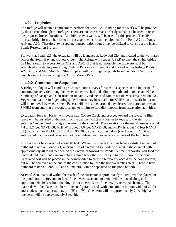#### **4.2.1 Logistics**

The Refuge will retain a contractor to perform the work. All funding for the work will be provided by the District through the Refuge. There are no access roads or bridges that can be used to reach the proposed breach locations. Amphibious excavators will be used for this project. The UP railroad bridge forms a barrier to the passage of construction equipment from Pond A21 to Ponds A19 and A20. Therefore, two separate transportation routes may be utilized to construct the Island Ponds Restoration Project.

For work at Pond A21, the excavator will be launched at Redwood City and floated to the work area across the South Bay and Coyote Creek. The Refuge will request UPRR to open the swing bridge on Mud Slough to access Ponds A19 and A20. If that is not possible the excavator will be assembled at a staging area along Cushing Parkway in Fremont and walked across Refuge Ponds A22, A23, and Mud Slough. Other supplies will be brought to ponds from the City of San Jose launch along Artesian Slough or Alviso Marina Park.

#### **4.2.2 Construction Sequence**

A Refuge biologist will conduct pre-construction surveys for sensitive species in the footprint of construction activities along the levees to be breached and adjoining outboard marsh channel (*see* Summary of Design and Construction Impact Avoidance and Minimization Measures, Section 4.3). Vegetation that the Refuge biologist determines may be suitable for SMHM in the work footprint will be removed by weed eaters. Fences will be installed around any cleared work area to prevent SMHM from entering the work area and to minimize turbidity impacts from excavation activities.

Excavation for each breach will begin near Coyote Creek and proceed toward the levee. A filter fence will be installed at the mouth of the channel to act as a barrier to keep turbid water from entering Coyote Creek during excavation of the channel. The elevation for the marsh area is around 7.4 to 8.7 feet NAVD 88, MHHW is about 7.6 feet NAVD 88, and MHW is about 7.0 feet NAVD 88 (Table 2). For the March 1 to April 30, 2006 construction window (see Appendix C), it is anticipated that the work area will not be inundated with water on two-thirds of the high tides.

The excavator has a reach of about 40 feet. Where the breach locations have a substantial band of outboard marsh on Pond A21, interim piles of excavated soil will be placed in the channel path approximately 40 to 60 feet behind the excavator toward the Ponds. A small excavator will load the material and load it into an amphibious dump truck that will carry it to the interior of the pond. Excavated soil will be placed in the borrow ditch to create a temporary access to the pond bottom, but will be removed at the end of the construction to keep the borrow ditches clear. There is little outboard marsh at Pond A19 and all material will be deposited on the pond bottom.

At Pond A20, material within the reach of the excavator (approximately 40 feet) will be placed on the pond bottom. Beyond 40 feet of the levee, excavated material will be placed along and approximately 10 feet from the hinge point on each side of the newly excavated channel. The materials will be placed in a berm-like configuration and with a maximum bottom width of 20 feet and a side slope of approximately  $1$  (H) :  $1$  (V). One berm will be approximately 2 feet high and one berm will be approximately 3 feet high.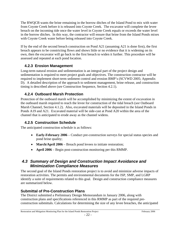The RWQCB wants the brine remaining in the borrow ditches of the Island Pond to mix with water from Coyote Creek before it is released into Coyote Creek. The excavator will complete the levee breach on the incoming tide once the water level in Coyote Creek equals or exceeds the water level in the borrow ditches. In this way, the contractor will ensure that brine from the Island Ponds mixes with Coyote Creek water before being released into Coyote Creek.

If by the end of the second breach construction on Pond A21 (assuming A21 is done first), the first breach appears to be constricting flows and shows little or no evidence that it is widening on its own, then the excavator will go back to the first breach to widen it further. This procedure will be assessed and repeated at each pond location.

### **4.2.3 Erosion Management**

Long-term natural erosion and sedimentation is an integral part of the project design and sedimentation is required to meet project goals and objectives. The construction contractor will be required to implement short-term sediment control and erosion BMP's (SCVWD 2005; Appendix D). A detailed description of the approach to sediment management, brine release, and construction timing is described above (*see* Construction Sequence, Section 4.2.1).

#### **4.2.4 Outboard Marsh Protection**

Protection of the outboard marsh will be accomplished by minimizing the extent of excavation in the outboard marsh required to reach the levee for construction of the tidal breach (*see* Outboard Marsh Channel, Section 4.1.2). Also, excavated materials will be deposited in the Island Ponds in Ponds A19 and A21. Excavated material will be side-cast at Pond A20 within the area of the channel that is anticipated to erode away as the channel widens.

### **4.2.5 Construction Schedule**

The anticipated construction schedule is as follows:

- **Early-February 2006** Conduct pre-construction surveys for special status species and pond brine quality;
- **March/April 2006** Breach pond levees to initiate restoration;
- **April 2006** Begin post-construction monitoring per this RMMP.

### *4.3 Summary of Design and Construction Impact Avoidance and Minimization Compliance Measures*

The second goal of the Island Ponds restoration project is to avoid and minimize adverse impacts of restoration activities. The permits and environmental documents for the ISP, SMP, and LGRP identify a suite of requirements related to this goal. Design and construction compliance measures are summarized below.

### **Submittal of Pre-Construction Plans**

The District submitted a Preliminary Design Memorandum in January 2006, along with construction plans and specifications referenced in this RMMP as part of the required preconstruction submittals. Calculations for determining the size of any levee breaches, the anticipated

- 22 -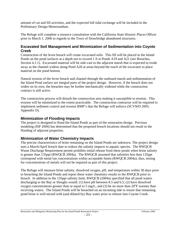amount of cut and fill activities, and the expected full tidal exchange will be included in the Preliminary Design Memorandum.

The Refuge will complete a resource consultation with the California State Historic Places Officer prior to March 1, 2006 in regards to the Town of Drawbridge abandoned structures.

#### **Excavated Soil Management and Minimization of Sedimentation into Coyote Creek**

Construction of the levee breach will create excavated soils. This fill will be placed in the Island Ponds on the pond surfaces at a depth not to exceed 1 ft at Ponds A19 and A21 (*see* Breaches, Section 4.1.1). Excavated material will be side-cast to the adjacent marsh that is expected to erode away as the channel widens along Pond A20 at areas beyond the reach of the excavator to place material on the pond bottom.

Natural erosion of the levee breach and channel through the outboard marsh and sedimentation of the Island Pond surface are integral parts of the project design. However, if the breach does not widen on its own, the breaches may be further mechanically widened while the construction contract is still active.

The construction process will disturb the construction area making it susceptible to erosion. This erosion will be minimized to the extent practicable. The construction contractor will be required to implement sediment control and erosion BMP's that the Refuge will enforce (SCVWD 2005; Appendix D).

#### **Minimization of Flooding Impacts**

The project is designed to flood the Island Ponds as part of the restoration design. Previous modeling (ISP 2004) has determined that the proposed breach locations should not result in the flooding of adjacent properties.

#### **Minimization of Water Chemistry Impacts**

The precise characteristics of brine remaining on the Island Ponds are unknown. The project design uses a March/April breach date to reduce the salinity impacts to aquatic species. The RWQCB Waste Discharge Requirement permit prohibits initial release from these ponds when brine salinity is greater than 135ppt (RWQCB 2004a). The RWQCB assumed that salinities less than 135ppt correspond with metal ion concentrations within acceptable limits (RWQCB 2004a); thus, testing for concentrations of metals will not be required as part of this project.

The Refuge will measure brine salinity, dissolved oxygen, pH, and temperature within 30 days prior to breaching the Island Ponds and report these water chemistry results to the RWQCB prior to breach. In addition to the 135ppt salinity limit, RWQCB (2004a) specified that all pond waters discharging to the Bay or Sloughs would: (1) have pH between 8.5 and 6.5; (2) have dissolved oxygen concentrations greater than or equal to 5 mg/L; and (3) be no more than  $20^{\circ}$ F warmer than receiving waters. The Island Ponds will be breached on an incoming tide to insure that remaining pond brine is well-mixed with (and diluted by) Bay water prior to release into Coyote Creek.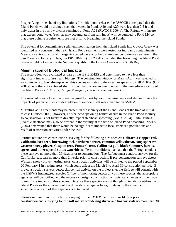In specifying brine chemistry limitations for initial pond release, the RWQCB anticipated that the Island Ponds would be drained such that waters in Ponds A19 and A20 were less than 0.5 ft and only water in the borrow ditches remained at Pond A21 (RWQCB 2004a). The Refuge will insure that excess pond water (such as may accumulate from rain input) will be pumped to Pond M4 so that these volume requirements are met prior to breaching the Island Ponds.

The potential for contaminated sediment mobilization from the Island Ponds into Coyote Creek was identified as a concern in the ISP. Island Pond sediments were tested for inorganic contaminants. Mean concentrations for all inorganics tested were at or below ambient conditions elsewhere in the San Francisco Estuary. Thus, the ISP EIR/EIS (ISP 2004) concluded that breaching the Island Pond levees would not impact water/sediment quality in the Coyote Creek or the South Bay.

#### **Minimization of Biological Impacts**

The restoration was evaluated as part of the ISP EIR/EIS and determined to have less then significant impacts to in-stream biology. The construction window of March/April was selected to avoid impacts to **bay shrimp** when this species migrates to the ocean to spawn (ISP 2004, RWQCB 2004e); no other concentrated shellfish populations are known to occur in the immediate vicinity of the Island Ponds (C. Morris, Refuge Manager, *personal communication*).

The selected breach locations were designed to meet hydraulic requirements and also minimize the impacts of permanent loss or degradation of outboard salt marsh habitat on SMHM.

Migrating adult **steelhead** may be present in the vicinity of the Island Ponds at the time of initial release (Hansen 2003); however, no steelhead spawning habitat occurs in the Island Pond vicinity, so construction is not likely to directly impact steelhead spawning (NMFS 2004). Outmigrating juvenile steelhead may also be present in the vicinity at the time of Island Pond breaching; NMFS (2004) determined that there would be no significant impact to local steelhead populations as a result of restoration activities under the ISP.

Permits require pre-construction surveying for the following bird species: **California clapper rail, California least tern, burrowing owl, northern harrier, common yellowthroat, song sparrow, western snowy plover, Caspian tern, Forster's tern, California gull, black skimmer, herons, egrets, and other special status waterbirds.** Permit conditions mandate that the Refuge conduct these surveys no more than 30 days prior to construction. The Refuge must conduct surveys for the California least tern no more than 2 weeks prior to construction. If pre-construction surveys detect Western snowy plover nesting areas, construction activities will be limited to the period September 20-February 1 in nesting areas, which could affect the March 1 to April 30 construction period. If pre-construction surveys detect clapper rail activity on the project site, the Refuge will consult with the USFWS Endangered Species Office. If monitoring detects any of these species, the appropriate agencies will be notified and the necessary design, construction, or logistical changes will be made to minimize impacts to this species. Because these species are not thought to inhabit or utilize the Island Ponds or the adjacent outboard marsh on a regular basis, no delay in the construction schedule as a result of these species is anticipated.

Permits require pre-construction surveying for the **SMHM** no more than 14 days prior to construction and surveying for the **salt marsh wandering shrew** and **harbor seals** no more than 30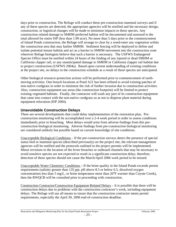days prior to construction. The Refuge will conduct these pre-construction mammal surveys and if any of these species are detected, the appropriate agencies will be notified and the necessary design, construction, or logistical changes will be made to minimize impacts to these species. Any construction related damage to SMHM preferred habitat will be documented and assessed to the total allowed for entire ISP (less than 1.99 acre). No more than 5 days prior to the commencement of Island Ponds construction, the Refuge will arrange to clear by a weed-eater any vegetation within the construction area that may harbor SMHM. Sediment fencing will be deployed to define and isolate potential mouse habitat and act as a barrier to SMHM movement into the construction zone wherever Refuge biologists believe that such a barrier is necessary. The USFWS Endangered Species Office must be notified within 24 hours of the finding of any injured or dead SMHM or California clapper rail, or any unanticipated damage to SMHM or California clapper rail habitat due to project construction (USFWS 2004a). Based upon current understanding of existing conditions at the project site, no delays in the construction schedule as a result of these species are anticipated.

Other biological resource-protection actions will be performed prior to commencement of earthmoving activities. One breach locations at Pond A21 has been refined to avoid existing patches of non-native cordgrass in order to minimize the risk of further invasion due to construction activities. Also, construction equipment use areas (the construction footprint) will be limited to protect existing vegetated habitats. Finally, the contractor will wash any part of its construction equipment that came into contact with the non-native cordgrass so as not to disperse plant material during equipment relocation (ISP 2004).

#### **Unavoidable Construction Delays**

There are several developments that could delay implementation of the restoration plan. Preconstruction monitoring will be accomplished over a 2-4 week period in order to assess conditions immediately prior to breaching. Most delays would arise from adverse findings from this preconstruction biological monitoring. Adverse findings from pre-construction biological monitoring are considered unlikely but possible based on current knowledge of site conditions.

Unacceptable Biological Conditions – If the pre-construction surveys detect the presence of special status bird or mammal species (described previously) on the project site, the relevant management agencies will be notified and the protocols outlined in the project permits will be implemented. Minor revisions to the location of the levee breaches or outboard channels that may be necessary to avoid sensitive species are not expected to result in a significant construction delay; therefore, detection of these species should not cause the March/April 2006 work period to be missed.

Unacceptable Water Chemistry Conditions **–** If the brine quality in the Island Ponds exceeds permit requirements (salinity greater than 135 ppt, pH above 8.5 or below 6.5, dissolved oxygen concentrations less than 5 mg/L, or brine temperature more than  $20^{\circ}$ F warmer than Coyote Creek), then the RWQCB will be consulted prior to proceeding with construction.

Construction Contractor/Construction Equipment-Related Delays – It is possible that there will be construction delays due to problems with the construction contractor's work, including equipment delays. The Refuge will use all means to insure that the construction contractor meets permit requirements, especially the April 30, 2006 end-of-construction deadline.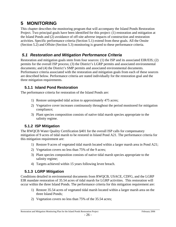# **5 MONITORING**

This chapter describes the monitoring program that will accompany the Island Ponds Restoration Project. Two principal goals have been identified for this project: (1) restoration and mitigation at the Island Ponds and (2) avoidance of off-site adverse impacts of construction and restoration activities. Specific performance criteria (Section 5.1) extend from these goals. All the Onsite (Section 5.2) and Offsite (Section 5.3) monitoring is geared to these performance criteria.

### *5.1 Restoration and Mitigation Performance Criteria*

Restoration and mitigation goals stem from four sources: (1) the ISP and its associated EIR/EIS; (2) permits for the overall ISP process; (3) the District's LGRP permits and associated environmental documents; and (4) the District's SMP permits and associated environmental documents. Performance criteria associated with the restoration and mitigation goals from each of these sources are described below. Performance criteria are stated individually for the restoration goal and the three mitigation requirements.

### **5.1.1 Island Pond Restoration**

The performance criteria for restoration of the Island Ponds are:

- 1) Restore unimpeded tidal action to approximately 475 acres;
- 2) Vegetative cover increases continuously throughout the period monitored for mitigation compliance;
- 3) Plant species composition consists of native tidal marsh species appropriate to the salinity regime.

# **5.1.2 ISP Mitigation**

The RWQCB Water Quality Certification §401 for the overall ISP calls for compensatory mitigation of 9 acres of tidal marsh to be restored in Island Pond A21. The performance criteria for this mitigation requirement are:

- 1) Restore 9 acres of vegetated tidal marsh located within a larger marsh area in Pond A21;
- 2) Vegetation covers no less than 75% of the 9 acres;
- 3) Plant species composition consists of native tidal marsh species appropriate to the salinity regime;
- 4) Targets achieved within 15 years following levee breach.

# **5.1.3 LGRP Mitigation**

Conditions detailed in environmental documents from RWQCB, USACE, CDFG, and the LGRP EIR mandate restoration of 35.54 acres of tidal marsh for LGRP activities. This restoration will occur within the three Island Ponds. The performance criteria for this mitigation requirement are:

- 1) Restore 35.54 acres of vegetated tidal marsh located within a larger marsh area on the three Island Ponds;
- 2) Vegetation covers no less than 75% of the 35.54 acres;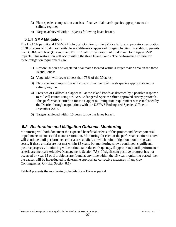- 3) Plant species composition consists of native tidal marsh species appropriate to the salinity regime;
- 4) Targets achieved within 15 years following levee breach.

#### **5.1.4 SMP Mitigation**

The USACE permit and USFWS Biological Opinion for the SMP calls for compensatory restoration of 30.00 acres of tidal marsh suitable as California clapper rail foraging habitat. In addition, permits from CDFG and RWQCB and the SMP EIR call for restoration of tidal marsh to mitigate SMP impacts. This restoration will occur within the three Island Ponds. The performance criteria for these mitigation requirements are:

- 1) Restore 30 acres of vegetated tidal marsh located within a larger marsh area on the three Island Ponds;
- 2) Vegetation will cover no less than 75% of the 30 acres;
- 3) Plant species composition will consist of native tidal marsh species appropriate to the salinity regime.
- 4) Presence of California clapper rail at the Island Ponds as detected by a positive response to rail call counts using USFWS Endangered Species Office approved survey protocols. This performance criterion for the clapper rail mitigation requirement was established by the District through negotiations with the USFWS Endangered Species Office in December 2005.
- 5) Targets achieved within 15 years following levee breach.

### *5.2 Restoration and Mitigation Outcome Monitoring*

Monitoring will both document the expected beneficial effects of this project and detect potential impediments to successful marsh restoration. Monitoring for each of the performance criteria above will continue until performance criteria are satisfied, at which point mitigation monitoring can cease. If these criteria are not met within 15 years, but monitoring shows continued, significant, positive progress, monitoring will continue (at reduced frequency, if appropriate) until performance criteria are met (*see* Adaptive Management, Section 7.3). If significant positive progress has not occurred by year 15 or if problems are found at any time within the 15-year monitoring period, then the causes will be investigated to determine appropriate corrective measures, if any (*see* Contingencies, On-site, Section 8.1).

Table 4 presents the monitoring schedule for a 15-year period.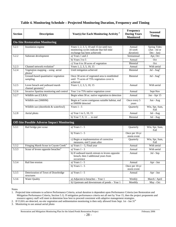| <b>Section</b>                                     | <b>Description</b>                                               | Year(s) for Each Monitoring Activity <sup>1</sup>                                                                      | <b>Frequency</b><br><b>During Years</b><br><b>Monitored</b> | <b>Seasonal</b><br><b>Timing</b>                   |  |  |
|----------------------------------------------------|------------------------------------------------------------------|------------------------------------------------------------------------------------------------------------------------|-------------------------------------------------------------|----------------------------------------------------|--|--|
| <b>On-Site Restoration Monitoring</b>              |                                                                  |                                                                                                                        |                                                             |                                                    |  |  |
| 5.2.1                                              | Inundation regime                                                | Years 1, 2, 3, 5, 10 and 15 (or until two<br>monitoring cycles indicate that full tidal<br>exchange has been achieved) | Annual<br>$(6 \text{ week})$<br>duration)                   | <b>Spring Tides</b><br>(Jun - Jul or<br>Dec - Jan) |  |  |
| 5.2.2                                              | Substrate development                                            | a) Years 1 and 2                                                                                                       | Semiannual                                                  | Apr, Oct                                           |  |  |
|                                                    |                                                                  | b) Years $3$ to $5$                                                                                                    | Annual                                                      | Oct                                                |  |  |
|                                                    |                                                                  | c) Year 6 to 30 acres of vegetation                                                                                    | Biennial                                                    | Oct                                                |  |  |
| 5.2.3                                              | Channel network evolution <sup>3</sup>                           | Years 1, 2, 3, 5, 10, 15                                                                                               | Annual                                                      | With aerial                                        |  |  |
| 5.2.4                                              | Vegetation mapping - using aerial<br>photos <sup>3</sup>         | Until mitigation achieved                                                                                              | Biennial                                                    | Jul - $Aug2$                                       |  |  |
|                                                    | Ground-based quantitative vegetation<br>sampling                 | Once 30 acres of vegetated area is established<br>until 75 acres of 75% vegetation cover is<br>achieved                | Biennial                                                    | Jul - $Aug2$                                       |  |  |
| 5.2.5                                              | Levee breach and outboard marsh<br>channel geometry <sup>3</sup> | Years 1, 2, 3, 5, 10, 15                                                                                               | Annual                                                      | With aerial                                        |  |  |
| 5.2.6                                              | Invasive Spartina monitoring and control                         | Year 1 to 75% native vegetation cover                                                                                  | Annual                                                      | Sept-Nov                                           |  |  |
| 5.2.7                                              | Wildlife use (CLRA)                                              | Begin when 30 ac. native vegetation to detection                                                                       | Annual                                                      | Jan - Apr 15                                       |  |  |
|                                                    | Wildlife use (SMHM)                                              | Begin at 5 acres contiguous suitable habitat, end<br>at SMHM detected                                                  | Once every 5<br>years                                       | Jun - Aug                                          |  |  |
|                                                    | Wildlife use (shorebirds & waterfowl)                            | Years $1 - 5$                                                                                                          | Quarterly                                                   | Win, Spr, Sum,<br>Fall                             |  |  |
| 5.2.8                                              | Aerial photo                                                     | a) Year 1 to 5, 10, 15                                                                                                 | Annual                                                      | Jul - Aug                                          |  |  |
|                                                    |                                                                  | b) Year 7, 9, 11  to end                                                                                               | Biennial                                                    | Jul - Aug                                          |  |  |
| <b>Off-Site Possible Adverse Impact Monitoring</b> |                                                                  |                                                                                                                        |                                                             |                                                    |  |  |
| 5.3.1                                              | Rail bridge pier scour                                           | a) Years 1 - 5                                                                                                         | Quarterly                                                   | Win, Spr, Sum,<br>Fall                             |  |  |
|                                                    |                                                                  | b) Years 1 - 5                                                                                                         | Once per 10-yr<br>storm event                               |                                                    |  |  |
|                                                    |                                                                  | c) Begin at implementation of corrective<br>measures, end 5 years after                                                | Quarterly                                                   | Win, Spr, Sum,<br>Fall                             |  |  |
| 5.3.2                                              | Fringing Marsh Scour in Coyote Creek <sup>3</sup>                | a) Years $1 - 5$ , Final year                                                                                          | Annual                                                      | With aerial                                        |  |  |
| 5.3.3                                              | Scour of levees opposite breaches <sup>3</sup>                   | a) Years 1 - 3                                                                                                         | Annual                                                      | With aerial                                        |  |  |
|                                                    |                                                                  | b) If outboard marsh retreats to levees opposite<br>breach, then 3 additional years from<br>occurrence                 | Annual                                                      | Jul - Sep                                          |  |  |
| 5.3.4                                              | Rail line erosion                                                | a) Years 1 - 5                                                                                                         | Annual                                                      | Apr - Jun                                          |  |  |
|                                                    |                                                                  | b) Years $1 - 5$                                                                                                       | Once per 10-yr<br>storm event                               |                                                    |  |  |
| 5.3.5                                              | Deterioration of Town of Drawbridge<br>structures                | a) Years 1 - 5                                                                                                         | Annual                                                      | Apr - Jun                                          |  |  |
| 5.3.6                                              | <b>Water Quality</b>                                             | a) Adjacent to breaches - Year 1<br>b) Upstream and downstream of ponds - Year 1                                       | Weekly<br>Monthly                                           | March / April<br>May - Oct                         |  |  |

#### **Table 4. Monitoring Schedule – Projected Monitoring Duration, Frequency and Timing**

Notes

1. Projected time estimates to achieve Performance Criteria, actual duration is dependent upon Performance Criteria (see Restoration and Mitigation Performance Criteria, Section 5.1). If mitigation performance criteria not all met by Year 15, then the project proponents and resource agency staff will meet to determine how best to proceed consistent with adaptive management strategies.

2. If CLRA are detected, on-site vegetation and sedimentation monitoring is then only allowed from Sept. 1st - Jan 31st

3. Monitoring to use annual aerial photo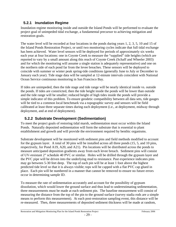#### **5.2.1 Inundation Regime**

Inundation regime monitoring inside and outside the Island Ponds will be performed to evaluate the project goal of unimpeded tidal exchange, a fundamental precursor to achieving mitigation and restoration goals.

The water level will be recorded at four locations in the ponds during years 1, 2, 3, 5, 10 and 15 of the Island Ponds Restoration Project, or until two monitoring cycles indicate that full tidal exchange has been achieved. Water level sensors will be deployed for periods of approximately six weeks each year at four locations: one in Coyote Creek to measure the "supplied" tide heights (which are reported to vary by a small amount along this reach of Coyote Creek (Schaff and Wheeler 2003) and for which the monitoring will assume a single station is adequately representative) and one on the northern side of each pond far from the levee breaches. These sensors will be deployed to coincide with summer or winter peak spring-tide conditions (generally June to July or December to January each year). Tide stage data will be sampled at 12-minute intervals coincident with National Ocean Service continuous monitoring in San Francisco Bay.

If tides are unimpeded, then the tide stage and tide range will be nearly identical inside vs. outside the ponds. If tides are constricted, then the tide height inside the ponds will be lower than outside and the tide range will be smaller; reduced height of high tides inside the ponds will provide a simple indicator of this problem. To ensure geodetic compatibility between all data sets, tide gauges will be tied to a common local benchmark via a topographic survey and sensors will be field calibrated at least three separate times during each deployment (i.e., at deployment, midway through deployment, and at end of deployment).

### **5.2.2 Substrate Development (Sedimentation)**

To meet the project goals of restoring tidal marsh, sedimentation must occur within the Island Ponds. Naturally deposited sedimentation will form the substrate that is essential to plant establishment and growth and will provide the environment required by benthic organisms.

Substrate development will be monitored with sediment pins and field methods modified to account for the gypsum layer. A total of 30 pins will be installed across all three ponds (15, 5, and 10 pins, respectively, for Pond A19, A20, and A21). Pin locations will be distributed across the ponds to measure anticipated deposition gradients away from each levee breach. Sediment pins will consist of UV-resistant 2" schedule 40 PVC or similar. Holes will be drilled through the gypsum layer and the PVC pipe will be driven into the underlying mud to resistance. Past experience indicates pins may go between 5-30 feet deep. The top of each pin will be at least 1 foot above the highest predicted tide level so that it is always visible; tops will be capped with a flat PVC cap glued in place. Each pin will be numbered in a manner that cannot be removed to ensure no future errors occur in determining sample ID.

To measure the rate of sedimentation accurately and account for the possibility of gypsum dissolution, which would lower the ground surface and thus lead to underestimating sedimentation, three measurements must be made at each sediment pin. The baseline measurement will consist of measuring the distance from the top of the pin to the ground surface (survey stadia rods are a simple means to perform this measurement). At each post-restoration sampling event, this distance will be re-measured. Then, three measurements of deposited sediment thickness will be made at random,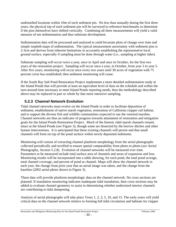undisturbed locations within 10m of each sediment pin. No less than annually during the first three years, the physical top of each sediment pin will be surveyed to reference benchmarks to determine if the pins themselves have shifted vertically. Combining all three measurements will yield a valid measure of net sedimentation and thus substrate development.

Sedimentation data will be processed and analyzed to yield bivariate plots of change over time and simple isopleth maps of sedimentation. The typical measurement uncertainty with sediment pins is 2-3cm and derives from inherent limitations in accurately establishing the representative local ground surface, especially if sampling must be done through water (i.e., sampling at higher tides).

Substrate sampling will occur twice a year, once in April and once in October, for the first two years of the restoration project. Sampling will occur once a year, in October, from year 3 to year 5. After five years, monitoring will occur once every two years until 30 acres of vegetation with 75 percent cover has established; then sediment monitoring will cease.

If the South Bay Salt Pond Restoration Project implements a more detailed sedimentation study at the Island Ponds that will provide at least an equivalent level of data on the schedule and within the turn-around time necessary to meet Island Ponds reporting needs, then the methodology described above may be replaced in part or whole by that more intensive sampling.

### **5.2.3 Channel Network Evolution**

Tidal channel networks must evolve on the Island Ponds in order to facilitate deposition of sediment, establishment of native marsh vegetation, restoration of California clapper rail habitat, and to support the diverse fish and wildlife communities expected to use the restored marshes. Channel networks are thus an indicator of progress towards attainment of restoration and mitigation goals for the Island Ponds Restoration Project. Much of the historic tidal marsh channels remain intact at the Island Ponds (*see* Figure 3), though some are dissected by the borrow ditches and other human interventions. It is anticipated that these existing channels will persist and that small channels will form on top of the pond surface within newly deposited sediments.

Monitoring will consist of extracting channel planform morphology from the aerial photographs collected periodically and rectified to ensure spatial comparability from photo to photo (*see* Aerial Photography, Section 5.2.8). Evolution of channel networks will be measured over time. Parameters to be measured include total surface area of channels and areas of expansion and loss. Monitoring results will be incorporated into a table showing, for each pond, the total pond acreage, total channel coverage, and percent of pond as channel. Maps will show the channel network in each year, the change from prior year that an aerial image was taken, and the change from the baseline (2002 aerial photo shown in Figure 3).

These data will provide planform morphologic data on the channel network. No cross sections are planned. If inundation monitoring indicates inadequate tidal inundation, then cross sections may be added to evaluate channel geometry to assist in determining whether undersized interior channels are contributing to tidal dampening.

Analysis of aerial photographs will take place Years 1, 2, 3, 5, 10, and 15. The early years will yield critical data on the channel network relative to forming full tidal circulation and habitats for clapper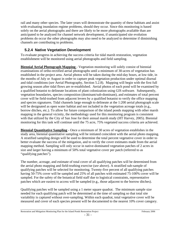rail and many other species. The later years will demonstrate the quantity of these habitats and assist with evaluating inundation regime problems, should they occur. Since this monitoring is based solely on the aerial photographs and there are likely to be more photographs available than are anticipated to be analyzed for channel network development, if unanticipated site evolution problems do occur the other photographs may also need to be analyzed to determine if diminishing channels are contributing to problems.

#### **5.2.4 Native Vegetation Development**

To evaluate progress in achieving the success criteria for tidal marsh restoration, vegetation establishment will be monitored using aerial photographs and field sampling.

**Biennial Aerial Photograph Mapping** - Vegetation monitoring will solely consist of biennial examinations of ortho-rectified aerial photographs until a minimum of 30-acres of vegetation has established in the project area. Aerial photos will be taken during the mid-day hours, at low tide, in the months of July or August in order to capture peak vegetation production under optimal diurnal and tidal conditions (*see* Aerial Photography, Section 5.2.8). Mapping will begin with the first full growing season after tidal flows are re-established. Aerial photos of each pond will be examined by a qualified botanist to delineate locations of plant colonization using GIS software. Subsequently, vegetation boundaries, species composition (dominant/sub-dominant), and estimates of total percent cover will be field-truthed from adjacent levees by a qualified botanist to verify the office mapping and species signatures. Tidal channels large enough to delineate at the 1:200 aerial photograph scale will be designated as open water habitat and not included in the vegetation acreage totals (e.g., borrow ditches, etc.). To allow for future comparison of the island ponds mapping with other marsh mapping in the general vicinity, the methodology used for this monitoring program is consistent with that utilized by the City of San Jose for their annual marsh study (HT Harvey, 2005). Biennial monitoring for this task will continue until the 75 acre, 75% vegetated success criteria are achieved.

**Biennial Quantitative Sampling** - Once a minimum of 30 acres of vegetation establishes in the study area, biennial quantitative sampling will be initiated coincident with the aerial photo mapping. A stratified sampling design will be used to determine the total percent vegetative cover in order to better evaluate the success of the mitigation, and to verify the cover estimates made from the aerial mapping method. Sampling will only occur in native-dominated vegetation patches of 2 acres in size and larger having a minimum of 50% total vegetative cover per patch (referred to as "qualifying patches").

The number, acreage, and estimate of total cover of all qualifying patches will be determined from the aerial photo mapping and field-truthing exercise (*see* above). A stratified sub-sample of qualifying patches will be selected for monitoring. Twenty-five percent of all qualifying patches having 50-75% cover will be sampled and 25% of all patches with estimated 75-100% cover will be sampled. For the safety of the botanical field staff due to logistical constraints, representative patches which are easiest to access will be sampled (e.g., those adjacent to the borrow ditches).

Qualifying patches will be sampled using a 1 meter square quadrat. The minimum sample size needed for each qualifying patch will be determined at the time of sampling so that total site variability is captured without over-sampling. Within each quadrat, total vegetative cover will be measured and cover of each species present will be documented to the nearest 10% cover category.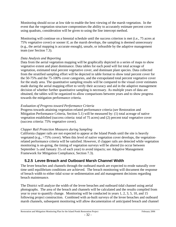Monitoring should occur at low tide to enable the best viewing of the marsh vegetation. In the event that the vegetation structure compromises the ability to accurately estimate percent cover using quadrats, consideration will be given to using the line intercept method.

Monitoring will continue on a biennial schedule until the success criterion is met (i.e., 75 acres at 75% vegetative cover) or sooner if, as the marsh develops, the sampling is deemed unnecessary (e.g., the aerial mapping is accurate enough), unsafe, or infeasible by the adaptive management team (*see* Section 7.3).

#### *Data Analysis and Reporting*

Data from the aerial vegetation mapping will be graphically depicted in a series of maps to show vegetative extent and plant dominance. Data tables for each pond will list total acreage of vegetation, estimated total percent vegetative cover, and dominant plant species. Data collected from the stratified sampling effort will be depicted in table format to show total percent cover for the 50-75% and the 75-100% cover categories, and the extrapolated total percent vegetative cover for the study area. The quantitative sampling results will be compared to the visual cover estimates made during the aerial mapping effort to verify their accuracy and aid in the adaptive management decision of whether further quantitative sampling is necessary. As multiple years of data are obtained, the tables will be organized to allow comparisons between years and to show progress towards the mitigation performance criteria.

#### *Evaluation of Progress toward Performance Criteria*

Progress towards attaining vegetation-related performance criteria (*see* Restoration and Mitigation Performance Criteria, Section 5.1) will be measured by: (1) total acreage of native vegetation established (success criteria: total of 75 acres) and (2) percent total vegetative cover (success criteria: 75% vegetative cover).

#### *Clapper Rail Protection Measures during Sampling*

California clapper rails are not expected to appear at the Island Ponds until the site is heavily vegetated (e.g., >75% cover). When this level of native vegetation cover develops, the vegetationrelated performance criteria will be satisfied. However, if clapper rails are detected while vegetation monitoring is on-going, the timing of vegetation surveys will be altered (to occur between September 1st and January 31st of each year) to avoid impacts; *see* Adaptive Management Framework for Mitigation Compliance, Section 7.3).

### **5.2.5 Levee Breach and Outboard Marsh Channel Width**

The levee breaches and channels through the outboard marsh are expected to erode naturally over time until equilibrium conditions are achieved. The breach monitoring will document the response of breach width to either tidal scour or sedimentation and aid management decisions regarding breach maintenance.

The District will analyze the width of the levee breaches and outboard tidal channel using aerial photographs. The area of the breach and channels will be calculated and the results compiled from year to year to quantify change. Monitoring will be conducted in years 1, 2, 3, 5, 10, and 15 following project construction. Combined with as-built surveys of the levee breaches and outboard marsh channels, subsequent monitoring will allow documentation of anticipated breach and channel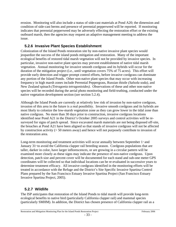erosion. Monitoring will also include a status of side-cast materials at Pond A20; the dimension and condition of side-cast berms and presence of perennial pepperweed will be reported. If monitoring indicates that perennial pepperweed may be adversely effecting the restoration effort or the existing outboard marsh, then the agencies may request an adaptive management meeting to address the issue.

### **5.2.6 Invasive Plant Species Establishment**

Colonization of the Island Ponds restoration site by non-native invasive plant species would jeopardize the success of the island ponds mitigation and restoration. Many of the important ecological benefits of restored tidal marsh vegetation will not be provided by invasive species. In particular, invasive non-native plant species may prevent establishment of native tidal marsh vegetation. Annual monitoring for invasive smooth cordgrass and its hybrids will occur for the duration of the mitigation project (i.e., until vegetation covers 75% of 75 acres). This effort will provide early detection and trigger prompt control efforts, before invasive cordgrass can dominate any portion of the Island Ponds. Other non-native plant species that may occur with increasing frequency in high marsh zones include Perennial Peppergrass, Russian thistle *(Salsola soda),* and New Zealand spinach *(Tetragonia tetragonioides)*. Observations of these and other non-native species will be recorded during the aerial photo monitoring and field-truthing, conducted under the native vegetation development section (*see* section 5.2.4).

Although the Island Ponds are currently at relatively low risk of invasion by non-native cordgrass*,*  invasion of this area in the future is a real possibility. Invasive smooth cordgrass and its hybrids are most likely to colonize the low-marsh vegetation zone as they can grow lower in the tidal zone than native cordgrass. No more than 30 days prior to construction, invasive cordgrass locations identified near Pond A21 in the District's October 2005 surveys and control activities will be resurveyed for signs of patch spread. Since excavated marsh materials are not being disposed off-site, the breaches at Pond A21 have been aligned so that stands of invasive cordgrass will not be affected by construction activity (> 50 meters away) and hence will not purposely contribute to invasion of the restoration area.

Long-term monitoring and treatment activities will occur annually between September  $1<sup>*</sup>$  and January 31<sup>st</sup> to avoid the California clapper rail breeding season. Cordgrass populations that are taller, darker in color, have larger inflorescences, or are growing in a circular pattern will be examined more closely as these signs may indicate the presence of non-native cordgrass. Upon detection, patch size and percent cover will be documented for each stand and sub-one meter GPS coordinates will be collected so that individual locations can be re-evaluated in successive years to determine treatment efficacy. All invasive cordgrass identified in the monitoring efforts will be treated in accordance with the Refuge and the District's Site Specific Invasive Spartina Control Plans prepared by the San Francisco Estuary Invasive Spartina Project (San Francisco Estuary Invasive Spartina Project, 2005).

### **5.2.7 Wildlife**

The ISP anticipates that restoration of the Island Ponds to tidal marsh will provide long-term ecological benefits to native bird (particularly California clapper rail) and mammal species (particularly SMHM). In addition, the District has chosen presence of California clapper rail as a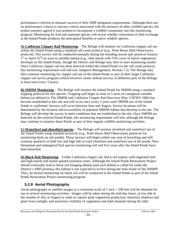performance criterion to measure success of their SMP mitigation requirements. Although there are no performance criteria or success criteria associated with the presence of other wildlife species, the project partners agreed it was prudent to incorporate a wildlife component into this monitoring program. Monitoring for bird and mammal species will reveal whether restoration of tidal exchange at the Island Ponds produces the anticipated benefits to native wildlife species.

**A) California Clapper Rail Monitoring** *–* The Refuge will monitor for California clapper rail use within the Island Ponds using a standard call count protocol (e.g., Point Reyes Bird Observatory protocol). This survey will be conducted annually during the breeding season (per protocol January  $1<sup>st</sup>$  to April 15<sup>th</sup>) as soon as suitable habitat (e.g., tidal marsh with 75% cover of native vegetation) develops on the Island Ponds, though the District and Refuge may elect to start monitoring sooner. Once California clapper rail has been detected within the Island Ponds via the call count protocol, this monitoring requirement will end (*see* Adaptive Management, Section 7.3). The Refuge may then continue monitoring for clapper rail use of the Island Ponds as part of their larger California clapper rail survey program (which involves winter airboat surveys of different parts of the Refuge at least once every 3 years).

**B) SMHM Monitoring** *–* The Refuge will monitor the Island Ponds for SMHM using a standard trapping protocol for this species. Trapping will begin as soon as 5 acres of contiguous suitable habitat (as defined in The SMHM and California Clapper Rail Recovery Plan, USFWS 1984) has become established at this site and will occur once every 5 years until SMHM use of the Island Ponds is confirmed. Surveys will occur between June and August. Survey locations will be determined by the location and accessibility of potential SMHM habitat that develop at the site. The Refuge will develop the survey to meet conditions that are established at the site. Once SMHM are detected on the restored Island Ponds, this monitoring requirement will end, although the Refuge may continue to monitor these Ponds as part of their regular wildlife monitoring activities.

**C) Waterfowl and shorebird species** – The Refuge will monitor shorebird and waterfowl use of the Island Ponds using standard protocols (e.g., Point Reyes Bird Observatory protocols for monitoring birds on salt ponds). These surveys will begin within one year of breaching and will continue quarterly at both low and high tide to track shorebird and waterfowl use of the ponds. Nonthreatened and endangered bird species monitoring will end five years after the Island Ponds have been breached.

**D) Black Rail Monitoring** – Unlike California clapper rail, black rail require well-vegetated midand high-marsh and marsh-upland transition zones. Although the Island Ponds Restoration Project should eventually lead to black rail foraging habitat (and such habitat is called for under the District's SMP permits), this habitat is not expected to evolve during the time-frame of this RMMP. Thus, no formal monitoring for black rail will be conducted at the Island Ponds as part of the Island Ponds Restoration Project monitoring program.

### **5.2.8 Aerial Photography**

Aerial photographs or satellite images at a consistent scale of 1 inch = 200 feet will be obtained for use in several monitoring activities. Images will be taken during the mid-day hours, at low tide in the months of July or August in order to capture peak vegetation production, minimize shadows and glare from sunlight, and maximize visibility of vegetation and tidal channels during the tidal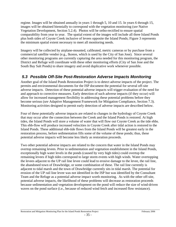regime. Images will be obtained annually in years 1 through 5, 10 and 15. In years 6 through 15, images will be obtained biennially to correspond with the vegetation monitoring (*see* Native Vegetation Development, Section 5.2.4). Photos will be ortho-rectified to ensure spatial comparability from year to year. The spatial extent of the images will include all three Island Ponds plus both sides of Coyote Creek inclusive of levees opposite the Island Ponds; Figure 3 represents the minimum spatial extent necessary to meet all monitoring needs.

Imagery will be collected by airplane-mounted, calibrated, metric cameras or by purchase from a commercial satellite vendor (e.g., Ikonos, which is used by the City of San Jose). Since several other monitoring programs are currently capturing the area needed for this monitoring program, the District and Refuge will coordinate with these other monitoring efforts (City of San Jose and the South Bay Salt Ponds) to share imagery and avoid duplicative work whenever possible.

### *5.3 Possible Off-Site Post-Restoration Adverse Impacts Monitoring*

Another goal of the Island Ponds Restoration Project is to detect adverse impacts of the project. The permits and environmental documents for the ISP document the potential for several off-site adverse impacts. Detection of these potential adverse impacts will trigger evaluation of the need for and approach to corrective measures. Early detection of such adverse impacts (if they occur) will allow for increased management flexibility in addressing these potential problems before they become serious (*see* Adaptive Management Framework for Mitigation Compliance, Section 7.3). Monitoring activities designed to permit early detection of adverse impacts are described below.

Four of these potentially adverse impacts are related to changes in the hydrology of Coyote Creek that may occur after the connection between the Creek and the Island Ponds is restored. At high tides, the Island Ponds will store a volume of water that will flow out Coyote Creek as the tide ebbs. This ebb-flow will produce increased velocities in Coyote Creek after tidal action is restored to the Island Ponds. These additional ebb-tide flows from the Island Ponds will be greatest early in the restoration process, before sedimentation fills some of the volume of these ponds; thus, these potential adverse impacts will become less likely as restoration proceeds.

Two other potential adverse impacts are related to the concern that water in the Island Ponds may overtop remaining levees. Prior to sedimentation and vegetation establishment in the Island Ponds, exceptionally high water levels in the ponds (caused by very high tides) could overtop the remaining levees if high tides correspond to large storm events with high winds. Water overtopping the levees adjacent to the UP rail line levee could lead to erosive damage to the levee, the rail line, the abandoned town of Drawbridge, or some combination of these. The rail line currently is adjacent to tidal marsh and the town of Drawbridge currently sits in tidal marsh. The potential for erosion of the UP rail line levee was not identified in the ISP but was identified by the Consultant Team and the Refuge as a potential adverse impact worth monitoring. As with the other off-site, potential adverse impacts, the likelihood of these problems will decrease as restoration proceeds because sedimentation and vegetation development on the pond will reduce the size of wind-driven waves on the pond surface (i.e., because of reduced wind fetch and increased flow resistance).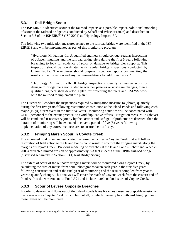### **5.3.1 Rail Bridge Scour**

The ISP EIR/EIS identified scour at the railroad impacts as a possible impact. Additional modeling of scour at the railroad bridge was conducted by Schaff and Wheeler (2003) and described in Section 3.3 of the ISP EIR/EIS (ISP 2004) as "Hydrology Impact -3".

The following two mitigation measures related to the railroad bridge were identified in the ISP EIR/EIS and will be implemented as part of this monitoring program:

"Hydrology Mitigation -1a: A qualified engineer should conduct regular inspections of adjacent mudflats and the railroad bridge piers during the first 5 years following breaching to look for evidence of scour or damage to bridge pier supports. This inspection should be coordinated with regular bridge inspections conducted by Union Pacific. The engineer should prepare inspection reports documenting the results of the inspection and any recommendations for additional work."

"Hydrology Mitigation -1b: If bridge inspections identify excessive scour or damage to bridge piers not related to weather patterns or upstream changes, then a qualified engineer shall develop a plan for protecting the piers and USFWS work with the railroad to implement the plan."

The District will conduct the inspections required by mitigation measure 1a (above) quarterly during the first five years following restoration construction at the Island Ponds and following each major (10-yr) storm event in the first five years. Monitoring activities will be coordinated with UPRR personnel to the extent practical to avoid duplicative efforts. Mitigation measure 1b (above) will be conducted if necessary jointly by the District and Refuge. If problems are detected, then the duration of monitoring will be extended to cover a period of five (5) years following implementation of any corrective measures to ensure their efficacy.

### **5.3.2 Fringing Marsh Scour in Coyote Creek**

The increased tidal prism and associated increased velocities in Coyote Creek that will follow restoration of tidal action to the Island Ponds could result in scour of the fringing marsh along the margins of Coyote Creek. Previous modeling of breaches at the Island Ponds (Schaff and Wheeler 2003) predicted limited erosion of approximately 2-3 feet in depth at the UPRR railroad bridge (discussed separately in Section 5.3.1, Rail Bridge Scour).

The extent of scour of the outboard fringing marsh will be monitored along Coyote Creek, by calculating the area of marsh from aerial photographs taken each year in the first five years following construction and at the final year of monitoring and the results compiled from year to year to quantify change. This analysis will cover the reach of Coyote Creek from the eastern end of Pond A19 to the western end of Pond A21 and include marsh on both sides of Coyote Creek.

### **5.3.3 Scour of Levees Opposite Breaches**

In order to determine if flows out of the Island Ponds levee breaches cause unacceptable erosion to the levees across Coyote Creek (much, but not all, of which currently has outboard fringing marsh), these levees will be monitored.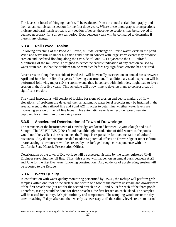The levees in-board of fringing marsh will be evaluated from the annual aerial photography and from an annual visual inspection for the first three years. Where these photographs or inspections indicate outboard marsh retreat to any section of levee, those levee sections may be surveyed if deemed necessary for a three-year period. Data between years will be compared to determine if there is any change.

### **5.3.4 Rail Levee Erosion**

Following breaching of the Pond A21 levee, full tidal exchange will raise water levels in the pond. Wind and wave run-up under high tide conditions in concert with large storm events may produce erosion and localized flooding along the east side of Pond A21 adjacent to the UP Railroad. Monitoring of the rail levee is designed to detect the earliest indication of any erosion caused by water from A21 so that the problem can be remedied before any significant erosion has occurred.

Levee erosion along the east side of Pond A21 will be visually assessed on an annual basis between April and June for the first five years following construction. In addition, a visual inspection will be performed following major (10-yr) storm events that, in concert with high tides, might lead to levee erosion in the first five years. This schedule will allow time to develop plans to correct areas of significant erosion.

The visual inspections will consist of looking for signs of erosion and debris markers of flow elevations. If problems are detected, then an automatic water level recorder may be installed in the area adjacent to the railroad line and Pond A21 in order to determine whether water levels are increasing erosion of the rail line levee. This automatic water level recorder would remain deployed for a minimum of one rainy season.

### **5.3.5 Accelerated Deterioration of Town of Drawbridge**

The remnants of the historic town of Drawbridge are located between Coyote Slough and Mud Slough. The ISP EIR/EIS (2004) found that although introduction of tidal waters to the ponds would not likely affect these remnants, the Refuge is responsible for documentation of cultural resources. Any documentation needed to address potential effects on Drawbridge or other cultural or archaeological resources will be created by the Refuge through correspondence with the California State Historic Preservation Officer.

Deterioration of the town of Drawbridge will be assessed visually by the same registered Civil Engineer surveying the rail line. Thus, this survey will happen on an annual basis between April and June for the first five years following construction. Any evidence of accelerating erosion will be reported to the Refuge.

### **5.3.6 Water Quality**

In coordination with water quality monitoring performed by USGS, the Refuge will perform grab samples within one-foot of the surface and within one-foot of the bottom upstream and downstream of the first breach site (but not for the second breach on A21 and A19) for each of the three ponds. Therefore, testing would be done for three breaches, the first breach on each island. The samples will be tested for salinity, DO, pH, turbidity and temperature. The sampling would occur the day after breaching, 7-days after and then weekly as necessary until the salinity levels return to normal.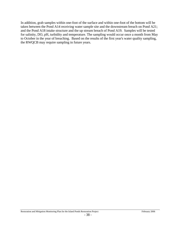In addition, grab samples within one-foot of the surface and within one-foot of the bottom will be taken between the Pond A14 receiving water sample site and the downstream breach on Pond A21; and the Pond A18 intake structure and the up stream breach of Pond A19. Samples will be tested for salinity, DO, pH, turbidity and temperature. The sampling would occur once a month from May to October in the year of breaching. Based on the results of the first year's water quality sampling, the RWQCB may require sampling in future years.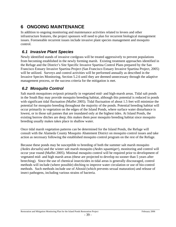# **6 ONGOING MAINTENANCE**

In addition to ongoing monitoring and maintenance activities related to levees and other infrastructure features, the project sponsors will need to plan for recurrent biological management issues. Foreseeable recurrent issues include invasive plant species management and mosquito control.

### *6.1 Invasive Plant Species*

Newly identified stands of invasive cordgrass will be treated aggressively to prevent populations from becoming established in the newly forming marsh. Existing treatment approaches identified in the Refuge and the District's Site Specific Invasive Spartina Control Plans prepared by the San Francisco Estuary Invasive Spartina Project (San Francisco Estuary Invasive Spartina Project, 2005) will be utilized. Surveys and control activities will be performed annually as described in the Invasive Species Monitoring, Section 5.2.6 until they are deemed unnecessary through the adaptive management process, or the success criteria for the mitigation is met.

# *6.2 Mosquito Control*

Salt marsh mosquitoes oviposit primarily in vegetated mid- and high-marsh areas. Tidal salt ponds in the South Bay may provide mosquito breeding habitat, although this potential is reduced in ponds with significant tidal fluctuation (Maffei 2005). Tidal fluctuation of about 1.5 feet will minimize the potential for mosquito breeding throughout the majority of the ponds. Potential breeding habitat will occur primarily in vegetation on the edges of the Island Ponds, where surface water disturbance is lowest, or in those salt pannes that are inundated only at the highest tides. At Island Ponds, the existing borrow ditches are deep; this makes them poor mosquito breeding habitat since mosquito breeding usually makes takes place in shallow water.

Once tidal marsh vegetation patterns can be determined for the Island Ponds, the Refuge will consult with the Alameda County Mosquito Abatement District on mosquito control issues and take action as necessary following the established mosquito control program on the rest of the Refuge.

Because these ponds may be susceptible to breeding of both the summer salt marsh mosquito *(Aedes dorsalis)* and the winter salt marsh mosquito *(Aedes squamiger*)*,* monitoring and control will occur year round (Maffei 2005). Minimal mosquito control will be required prior to development of vegetated mid- and high marsh areas (these are projected to develop no sooner than 5 years after breeching). Since the use of chemical insecticides in tidal areas is generally discouraged, control methods will include (where possible) ditching to improve water circulation or use of bio-control methods. Such methods include use of Altosid (which prevents sexual maturation) and release of insect pathogens, including various strains of bacteria.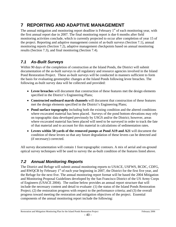# **7 REPORTING AND ADAPTIVE MANAGEMENT**

The annual mitigation and monitoring report deadline is February  $1<sup>st</sup>$  of each monitoring year, with the first annual report due in 2007. The final monitoring report is due 6 months after field monitoring activities conclude, which is currently projected to occur after completion of year 15 of the project. Reporting and adaptive management consist of as-built surveys (Section 7.1), annual monitoring reports (Section 7.2), adaptive management checkpoints based on annual monitoring results (Section 7.3), and final monitoring (Section 7.4).

### *7.1 As-Built Surveys*

Within 90 days of the completion of construction at the Island Ponds, the District will submit documentation of the as-built surveys to all regulatory and resource agencies involved in the Island Pond Restoration Project. These as-built surveys will be conducted in manners sufficient to form the basis for evaluating geomorphic changes at the Island Ponds following levee breaches. The following as-built survey data will be collected and provided:

- **Levee breaches** will document that construction of these features met the design elements specified in the District's Engineering Plans;
- **Constructed outboard marsh channels** will document that construction of these features met the design elements specified in the District's Engineering Plans;
- **Pond surface topography** including both the existing condition and the altered conditions where excavated material has been placed. Surveys of the pond bottom elevations may rely on topographic data developed previously by USGS and/or the District; however, areas where excavated material has been placed will need to be surveyed in order to track the fate of that material and to account for this material in calculations of sedimentation rates.
- **Levees within 50 yards of the removed pumps at Pond A19 and A21** will document the condition of these levees so that any future degradation of these levees can be detected and (if necessary) corrected.

All survey documentation will contain 1 foot topographic contours. A mix of aerial and on-ground optical survey techniques will be used to survey the as-built condition of the features listed above.

### *7.2 Annual Monitoring Reports*

The District and Refuge will submit annual monitoring reports to USACE, USFWS, BCDC, CDFG, and RWQCB by February  $1<sup>st</sup>$  of each year beginning in 2007, the District for the first five year, and the Refuge for the next five. The annual monitoring report format will be based the 2004 Mitigation and Monitoring Proposal Guidelines developed by the San Francisco District of the US Army Corps of Engineers (USACE 2004). The outline below provides an annual report structure that will include the necessary content and detail to evaluate: (1) the status of the Island Ponds Restoration Project; (2) the restoration progress with respect to the performance criteria; and (3) the overall progress toward meeting the restoration and mitigation objectives of the project. Essential components of the annual monitoring report include the following: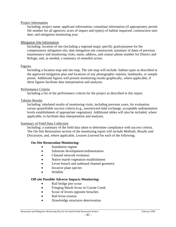#### Project Information

Including: project name; applicant information; consultant information (if appropriate); permit file number for all agencies; acres of impact and type(s) of habitat impacted; construction start date; and mitigation monitoring year.

#### Mitigation Site Information

Including: location of site (including a regional map); specific goals/purpose for the compensatory mitigation site; date mitigation site constructed; summary of dates of previous maintenance and monitoring visits; name, address, and contact phone number for District and Refuge; and, as needed, a summary of remedial action.

#### Figures

Including a location map and site map. The site map will include: habitat types as described in the approved mitigation plan and locations of any photographic stations, landmarks, or sample points. Additional figures will present monitoring results graphically, where applicable, if these figures facilitate data interpretation and analyses.

#### Performance Criteria

Including a list of the performance criteria for the project as described in this report.

#### Tabular Results

Including: tabulated results of monitoring visits, including previous years, for evaluation versus quantifiable success criteria (e.g., unrestricted tidal exchange, acceptable sedimentation levels establishment of appropriate vegetation). Additional tables will also be included, where applicable, to facilitate data interpretation and analyses.

#### Summary of Field Data Collection

Including: a summary of the field data taken to determine compliance with success criteria. The On-Site Restoration section of the monitoring report will include *Methods, Results and Discussion,* and, where applicable*, Lessons Learned* for each of the following:

#### **On-Site Restoration Monitoring:**

- Inundation regime
- Substrate development/sedimentation
- Channel network evolution
- Native marsh vegetation establishment
- Levee breach and outboard channel geometry
- Invasive plant species
- Wildlife

#### **Off-site Possible Adverse Impacts Monitoring:**

- Rail bridge pier scour
- Fringing Marsh Scour in Coyote Creek
- Scour of levees opposite breaches
- Rail levee erosion
- Drawbridge structures deterioration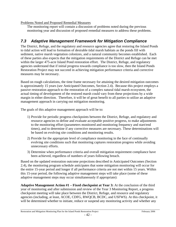Problems Noted and Proposed Remedial Measures

The monitoring report will contain a discussion of problems noted during the previous monitoring year and discussion of proposed remedial measures to address these problems.

# *7.3 Adaptive Management Framework for Mitigation Compliance*

The District, Refuge, and the regulatory and resource agencies agree that restoring the Island Ponds to tidal action will lead to formation of desirable tidal marsh habitats as the ponds fill with sediment, native marsh vegetation colonizes, and a natural community becomes established. Each of these parties also expects that the mitigation requirements of the District and Refuge can be met within the larger 475-acre Island Pond restoration effort. The District, Refuge, and regulatory agencies understand that if initial progress towards compliance is too slow, then the Island Ponds Restoration Project may not succeed in achieving mitigation performance criteria and corrective measures may be necessary.

Based on rough calculations, the time frame necessary for attaining the desired mitigation outcomes is approximately 15 years (*see* Anticipated Outcomes, Section 2.4). Because this project employs a passive restoration approach to the restoration of a complex natural tidal marsh ecosystem, the actual timing of development of the restored marsh could vary from these projections by a wide margin in either direction. Therefore, it will be of great benefit to all parties to utilize an adaptive management approach in carrying out mitigation monitoring.

The goals of this adaptive management approach will be to:

- 1) Provide for periodic progress checkpoints between the District, Refuge, and regulatory and resource agencies to define and evaluate acceptable positive progress, to make adjustments to the monitoring effort (parameters monitored and monitoring frequency and start/end times), and to determine if any corrective measures are necessary. These determinations will be based on evolving site conditions and monitoring results.
- 2) Provide for the appropriate level of compliance monitoring in the face of continually evolving site conditions such that monitoring captures restoration progress while avoiding unnecessary efforts.
- 3) Determine when performance criteria and overall mitigation requirement compliance have been achieved, regardless of numbers of years following breach.

Based on the updated restoration outcome projections described in Anticipated Outcomes (Section 2.4), the monitoring program schedule anticipates that some mitigation monitoring will occur for the entire 15-year period and longer if all performance criteria are not met within 15 years. Within this 15-year period, the following adaptive management steps will take place (some of these adaptive management steps may occur simultaneously if appropriate):

**Adaptive Management Action #1 – Fixed checkpoint at Year 3:** At the conclusion of the third year of monitoring and after submission and review of the Year 3 Monitoring Report, a progress checkpoint meeting will take place between the District, Refuge, and resource and regulatory agencies (including, at least, ACOE, CDFG, RWQCB, BCDC, and USFWS). At this checkpoint, it will be determined whether to initiate, reduce or suspend any monitoring activity and whether any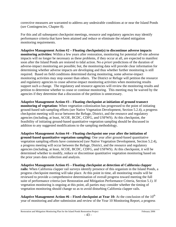corrective measures are warranted to address any undesirable conditions at or near the Island Ponds (*see* Contingencies, Chapter 8).

For this and all subsequent checkpoint meetings, resource and regulatory agencies may identify performance criteria that have been attained and reduce or eliminate the related mitigation monitoring requirements.

**Adaptive Management Action #2 – Floating checkpoint(s) to discontinue adverse impacts monitoring activities:** Within a few years after restoration, monitoring for potential off-site adverse impacts will no longer be necessary as these problems, if they occur at all, are expected to manifest soon after the Island Ponds are restored to tidal action. No *a priori* predictions of the duration of adverse-impact monitoring are possible; but, the monitoring data will provide clear information for determining whether adverse impacts are developing and thus whether further monitoring is still required. Based on field conditions determined during monitoring, some adverse-impact monitoring activities may stop sooner than others. The District or Refuge will petition the resource and regulatory agencies to cease adverse-impact monitoring activities when monitoring results support such a change. The regulatory and resource agencies will review the monitoring results and petition to determine whether to cease or continue monitoring. This meeting may be waived by the agencies if they determine that a discussion of the petition is unnecessary.

**Adaptive Management Action #3 – Floating checkpoint at initiation of ground transect monitoring of vegetation:** When vegetation colonization has progressed to the point of initiating ground-based sub-sampling efforts (*see* Native Vegetation Development, Section 5.2.4), a progress checkpoint meeting will occur between the Refuge, District, and the resource and regulatory agencies (including, at least, ACOE, BCDC, CDFG, and USFWS). At this checkpoint, the feasibility of initiating ground-based quantitative vegetation sampling should be discussed in addition to any suggested modifications to the sampling methodology.

**Adaptive Management Action #4 – Floating checkpoint one year after the initiation of ground-based quantitative vegetation sampling:** One year after ground-based quantitative vegetation sampling efforts have commenced (*see* Native Vegetation Development, Section 5.2.4), a progress meeting will occur between the Refuge, District, and the resource and regulatory agencies (including, at least, ACOE, BCDC, CDFG, and USFWS). At this checkpoint, it will be determined whether to modify, reduce or discontinue quantitative vegetation monitoring based on the prior years data collection and analysis.

**Adaptive Management Action #5 – Floating checkpoint at detection of California clapper rails:** When California clapper rail surveys identify presence of this organism in the Island Ponds, a progress checkpoint meeting will take place. At this point in time, all monitoring results will be reviewed to provide a comprehensive determination of overall progress toward meeting the full suite of performance criteria (*see* Restoration and Mitigation Performance Criteria, Section 5.1). If vegetation monitoring is ongoing at this point, all parties may consider whether the timing of vegetation monitoring should change so as to avoid disturbing California clapper rails.

**Adaptive Management Action #6 – Fixed checkpoint at Year 10:** At the conclusion of the  $10^{th}$ year of monitoring and after submission and review of the Year 10 Monitoring Report, a progress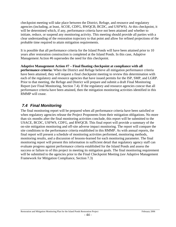checkpoint meeting will take place between the District, Refuge, and resource and regulatory agencies (including, at least, ACOE, CDFG, RWQCB, BCDC, and USFWS). At this checkpoint, it will be determined which, if any, performance criteria have not been attained and whether to initiate, reduce, or suspend any monitoring activity. This meeting should provide all parties with a clear understanding of the restoration trajectory to that point and allow for refined projections of the probable time required to attain mitigation requirements.

It is possible that all performance criteria for the Island Ponds will have been attained prior to 10 years after restoration construction is completed at the Island Ponds. In this case, Adaptive Management Action #6 supersedes the need for this checkpoint.

**Adaptive Management Action #7 – Final floating checkpoint at compliance with all performance criteria:** When the District and Refuge believe all mitigation performance criteria have been attained, they will request a final checkpoint meeting to review this determination with each of the regulatory and resource agencies that have issued permits for the ISP, SMP, and LGRP. Prior to that meeting, the Refuge and District will prepare and submit a draft Final Monitoring Report (*see* Final Monitoring, Section 7.4). If the regulatory and resource agencies concur that all performance criteria have been attained, then the mitigation monitoring activities identified in this RMMP will cease.

### *7.4 Final Monitoring*

The final monitoring report will be prepared when all performance criteria have been satisfied or when regulatory agencies release the Project Proponents from their mitigation obligations. No more than six months after the final monitoring activities conclude, this report will be submitted to the USACE, BCDC, USFWS, CDFG, and RWQCB. This final report will provide a summary of the on-site mitigation monitoring and off-site adverse impact monitoring. The report will compare the site conditions to the performance criteria established in this RMMP. As with annual reports, the final report will present a schedule of monitoring activities performed, monitoring methods, monitoring results, and a discussion of lessons-learned for each monitoring parameter. The final monitoring report will present this information in sufficient detail that regulatory agency staff can evaluate progress against performance criteria established for the Island Ponds and assess the success or failure to of this project in meeting its mitigation goals. The final monitoring requirement will be submitted to the agencies prior to the Final Checkpoint Meeting (*see* Adaptive Management Framework for Mitigation Compliance, Section 7.3)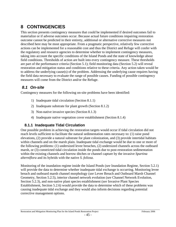# **8 CONTINGENCIES**

This section presents contingency measures that could be implemented if desired outcomes fail to materialize or if adverse outcomes occur. Because actual future conditions impairing restoration outcome cannot be predicted in their entirety, additional or alternative corrective measures not described here may be most appropriate. From a pragmatic perspective, relatively few corrective actions can be implemented for a reasonable cost and thus the District and Refuge will confer with the regulatory and resource agencies to determine whether to implement contingency measures, taking into account the specific conditions of the Island Ponds and the state of knowledge about field conditions. Thresholds of action are built into every contingency measure. These thresholds are part of the performance criteria (Section 5.1); field monitoring data (Section 5.2) will reveal restoration and mitigation status and conditions relative to these criteria. Any action taken would be to address the underlying cause(s) of the problem. Addressing the underlying cause requires having the field data necessary to evaluate the range of possible causes. Funding of possible contingency measures will come from the District and/or the Refuge.

### *8.1 On-site*

Contingency measures for the following on-site problems have been identified:

- 1) Inadequate tidal circulation (Section 8.1.1)
- 2) Inadequate substrate for plant growth (Section 8.1.2)
- 3) Non-native invasive species (Section 8.1.3)
- 4) Inadequate native vegetation cover establishment (Section 8.1.4)

### **8.1.1 Inadequate Tidal Circulation**

One possible problem in achieving the restoration targets would occur if tidal circulation did not reach levels sufficient to facilitate the natural sedimentation rates necessary to: (1) raise pond elevations, (2) provide a natural substrate for plant colonization, and (3) provide intertidal habitats within channels and on the marsh plain. Inadequate tidal exchange would be due to one or more of the following problems: (1) undersized levee breaches, (2) undersized channels across the outboard marsh, or (3) constricted tidal circulation inside the ponds due to post-restoration sedimentation within the existing channels and borrow ditches or channel capture by the invasive *Spartina alterniflora* and its hybrids with the native *S. foliosa*.

Monitoring of the inundation regime inside the Island Ponds (*see* Inundation Regime, Section 5.2.1) will provide the data to determine whether inadequate tidal exchange is occurring. Monitoring levee breach and outboard marsh channel morphology (*see* Levee Breach and Outboard Marsh Channel Geometry, Section 5.2.5), interior channel network evolution (*see* Channel Network Evolution, Section 5.2.3), and non-native plant species establishment (*see* Invasive Plant Species Establishment, Section 5.2.6) would provide the data to determine which of these problems was causing inadequate tidal exchange and they would also inform decisions regarding potential corrective management options.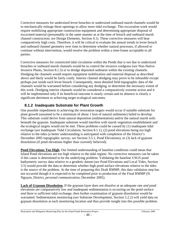Corrective measures for undersized levee breaches or undersized outboard marsh channels would be to mechanically enlarge these openings to allow more tidal exchange. This excavation work would require mobilizing appropriate construction equipment and determining appropriate disposal of excavated material (presumably in the same manner as at the time of breach and outboard marsh channel construction; *see* Design Elements, Section 4.1). These corrective measures will bear comparatively high costs. Therefore, it will be critical to evaluate the annual trends in levee breach and outboard channel geometry over time to determine whether natural processes, if allowed to continue without intervention, would resolve the problem within a time-frame acceptable to all parties.

Corrective measures for constricted tidal circulation within the Ponds that is not due to undersized breaches or outboard marsh channels would be to control the invasive cordgrass (*see* Non-Native Invasive Plants, Section 8.1.3) or to dredge deposited sediment within the existing channels. Dredging the channels would require equipment mobilization and material disposal as described above and likely would be fairly costly. Interior channel dredging may prove to be infeasible except perhaps just inside each levee breach. Consequently, more detailed field topographic data of the channels would be warranted before considering any dredging, to determine the necessary extent of this work. Dredging interior channels would be considered a comparatively extreme action and it will be implemented only if its beneficial outcome is nearly certain and its absence is clearly a significant detriment to achieving target ecological outcomes.

### **8.1.2 Inadequate Substrate for Plant Growth**

One possible impediment to achieving the restoration targets would occur if suitable substrate for plant growth (assumed to be a minimum of about 1 foot of natural sediments) failed to develop. This substrate could derive from natural deposition (sedimentation) and/or the natural marsh soils beneath the gypsum. Inadequate substrate would interfere with marsh vegetation establishment and the ecological targets would not be met. These problems could be caused by (1) inadequate tidal exchange (*see* Inadequate Tidal Circulation, Section 8.1.1), (2) pond elevations being too high relative to the tides (a better understanding is anticipated with completion of the District's December 2005 topographic survey; *see* Section 3.5.1, Pond Elevations), or (3) lack of gypsum dissolution (if pond elevations higher than currently believed).

**Pond Elevations Too High.** Our limited understanding of baseline conditions could mean that Island Pond elevations are too high relative to the tidal regime. No corrective measures can be taken if this cause is determined to be the underlying problem. Validating the baseline USGS pond bathymetric survey data relative to a geodetic datum (*see* Pond Elevations and Local Tides, Section 3.5) would provide the data to determine whether high pond surface elevations relative to the tides is the source of the problem. At the time of preparing this Draft RMMP, this data validation step has not occurred though it is expected to be completed prior to production of the Final RMMP (N. Nguyen, District, *personal communication*, December 2005).

**Lack of Gypsum Dissolution.** If the gypsum layer does not dissolve at an adequate rate *and* pond elevations are comparatively low *and* inadequate sedimentation is occurring on the pond surface *and* there is sufficient tidal exchange, then further examination of gypsum dissolution would be warranted. Sedimentation monitoring (*see* Substrate Development, Section 5.2.2) will yield data on gypsum dissolution at each monitoring location and thus provide insight into this possible problem.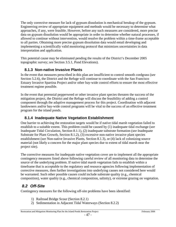The only corrective measure for lack of gypsum dissolution is mechanical breakup of the gypsum. Engineering review of appropriate equipment and methods would be necessary to determine what approaches, if any, were feasible. However, before any such measures are considered, more precise data on gypsum dissolution would be appropriate in order to determine whether natural processes, if allowed to continue without intervention, would resolve the problem within a time-frame acceptable to all parties. Obtaining more precise gypsum dissolution data would entail developing and implementing a scientifically valid monitoring protocol that minimizes uncertainties in data interpretation and application.

This potential cause may be eliminated pending the results of the District's December 2005 topographic survey; *see* Section 3.5.1, Pond Elevations).

### **8.1.3 Non-native Invasive Plants**

In the event that measures prescribed in this plan are insufficient to control smooth cordgrass (*see* Section 5.2.6), the District and the Refuge will continue to coordinate with the San Francisco Estuary Invasive Spartina Project and/or other bay-wide control efforts to ensure the most effective treatment regime possible.

In the event that perennial pepperweed or other invasive plant species threaten the success of the mitigation project, the District and the Refuge will discuss the feasibility of adding a control component through the adaptive management process for this project. Coordination with adjacent landowners and/or bay-wide control programs will be vital to the success of an effective treatment program for the island ponds.

#### **8.1.4 Inadequate Native Vegetation Establishment**

One barrier to achieving the restoration targets would be if native tidal marsh vegetation failed to establish to a suitable extent. This problem could be caused by (1) inadequate tidal exchange (*see* Inadequate Tidal Circulation, Section 8.1.1), (2) inadequate substrate formation (*see* Inadequate Substrate for Plant Growth, Section 8.1.2), (3) excessive non-native invasive plant species establishment (*see* Non-native Invasive Plants, Section 8.1.3), or (4) lack of colonizing source material (not likely a concern for the major plant species due to extent of tidal marsh near the project site).

The corrective measures for inadequate native vegetation cover are to implement all the appropriate contingency measures listed above following careful review of all monitoring data to determine the source of the underlying problem. If native tidal marsh vegetation fails to establish within a timeframe that is acceptable to the regulatory and resource agencies following implementation of corrective measures, then further investigations into underlying causes not considered here would be warranted. Such other possible causes could include substrate quality (e.g., chemical composition), water quality (e.g., chemical composition, salinity), or extreme grazing on vegetation.

### *8.2 Off-Site*

Contingency measures for the following off-site problems have been identified:

- 1) Railroad Bridge Scour (Section 8.2.1)
- 2) Sedimentation in Adjacent Tidal Waterways (Section 8.2.2)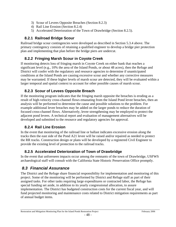- 3) Scour of Levees Opposite Breaches (Section 8.2.3)
- 4) Rail Line Erosion (Section 8.2.4)
- 5) Accelerated Deterioration of the Town of Drawbridge (Section 8.2.5).

#### **8.2.1 Railroad Bridge Scour**

Railroad bridge scour contingencies were developed as described in Section 5.3.4 above. The primary contingency consists of retaining a qualified engineer to develop a bridge pier protection plan and implementing that plan before the bridge piers are undercut.

#### **8.2.2 Fringing Marsh Scour in Coyote Creek**

If monitoring detects loss of fringing marsh in Coyote Creek on either bank that reaches a significant level (e.g., 10% the area of the Island Ponds, or about 48 acres), then the Refuge and District will confer with the regulatory and resource agencies to determine if unanticipated conditions at the Island Ponds are causing excessive scour and whether any corrective measures may be warranted. If these higher levels of marsh scour are detected, they will be evaluated within a larger temporal and spatial context to account for other possible causes of marsh scour.

#### **8.2.3 Scour of Levees Opposite Breach**

If the monitoring program indicates that the fringing marsh opposite the breaches is eroding as a result of high-velocity cross-channel flows emanating from the Island Pond levee breaches, then an analysis will be performed to determine the cause and possible solutions to the problem. For example additional levee breaches may be added on the larger ponds to reduce the duration of focused cross-channel flows. Alternatively, levee strengthening may be employed to protect the adjacent pond levees. A technical report and evaluation of management alternatives will be developed and submitted to the resource and regulatory agencies for approval.

#### **8.2.4 Rail Line Erosion**

In the event that monitoring of the railroad line or ballast indicates excessive erosion along the tracks then the east side of the Pond A21 levee will be raised and/or repaired as needed to protect the RR tracks. Construction design or plans will be developed by a registered Civil Engineer to provide the existing level of protection to the railroad tracks.

#### **8.2.5 Accelerated Deterioration of Town of Drawbridge**

In the event that unforeseen impacts occur among the remnants of the town of Drawbridge, USFWS archaeological staff will consult with the California State Historic Preservation Office promptly.

### *8.3 Financial Assurance*

The District and the Refuge share financial responsibility for implementation and monitoring of this project. Some of the monitoring will be performed by District and Refuge staff as part of their assigned tasks. For other tasks requiring large expenditures or contracted labor, the Refuge has special funding set aside, in addition to its yearly congressional allocation, to assure implementation. The District has budgeted construction costs for the current fiscal year, and will fund projected monitoring and maintenance costs related to District mitigation requirements as part of annual budget items.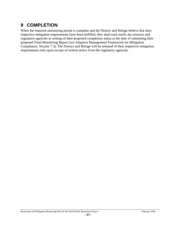# **9 COMPLETION**

When the required monitoring period is complete and the District and Refuge believe that their respective mitigation requirements have been fulfilled, they shall each notify the resource and regulatory agencies in writing of their proposed completion status at the time of submitting their proposed Final Monitoring Report (*see* Adaptive Management Framework for Mitigation Compliance, Section 7.3). The District and Refuge will be released of their respective mitigation requirements only upon receipt of written notice from the regulatory agencies.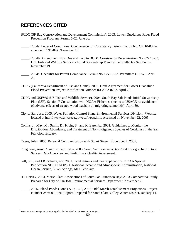# **REFERENCES CITED**

- BCDC (SF Bay Conservation and Development Commission). 2003. Lower Guadalupe River Flood Prevention Program, Permit 5-02. June 26.
- \_\_\_\_\_. 2004a. Letter of Conditional Concurrence for Consistency Determination No. CN 10-03 (as amended 11/19/04). November 19.
- \_\_\_\_\_. 2004b. Amendment Nos. One and Two to BCDC Consistency Determination No. CN 10-03; U.S. Fish and Wildlife Service's Initial Stewardship Plan for the South Bay Salt Ponds. November 19.
- \_\_\_\_\_. 2004c. Checklist for Permit Compliance. Permit No. CN 10-03. Permittee: USFWS. April 29.
- CDFG (California Department of Fish and Game). 2003. Draft Agreement for Lower Guadalupe Flood Prevention Project. Notification Number R3-2002-0732. April 28.
- CDFG and USFWS (US Fish and Wildlife Service). 2004. South Bay Salt Ponds Initial Stewardship Plan (ISP), Section 7 Consultation with NOAA Fisheries. (memo to USACE re: avoidance of adverse effects of treated wood leachate on migrating salmonids). April 30.
- City of San Jose. 2005. Water Pollution Control Plant. Environmental Services Division. Website located at http://www.sanjoseca.gov/esd/wpcp.htm. Accessed on November 22, 2005.
- Collins, J., May, M., Smith, D., Klohr, S., and K. Zaremba. 2001. Guidelines to Monitor the Distribution, Abundance, and Treatment of Non-Indigenous Species of Cordgrass in the San Francisco Estuary.
- Evens, Jules. 2005. Personal Communication with Stuart Siegel. November 7, 2005.
- Foxgrover, Amy C. and Bruce E. Jaffe. 2005. South San Francisco Bay 2004 Topographic LiDAR Survey: Data Overview and Preliminary Quality Assessment.
- Gill, S.K. and J.R. Schultz, eds. 2001. Tidal datums and their applications. NOAA Special Publication NOS CO-OPS 1. National Oceanic and Atmospheric Administration, National Ocean Service, Silver Springs, MD. February.
- HT Harvey. 2003. Marsh Plant Associations of South San Francisco Bay: 2003 Comparative Study. Prepared for City of San Jose Environmental Services Department. November 25.
	- \_\_\_\_\_. 2005. Island Ponds (Ponds A19, A20, A21) Tidal Marsh Establishment Projections: Project Number 2456-01 Final Report. Prepared for Santa Clara Valley Water District. January 14.

Restoration and Mitigation Monitoring Plan for the Island Ponds Restoration Project February 2006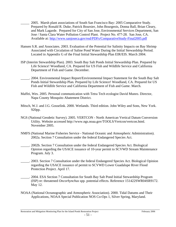- \_\_\_\_\_ 2005. Marsh plant associations of South San Francisco Bay: 2005 Comparative Study. Prepared by Ronald R. Duke, Patrick Boursier, John Bourgeois, Donna Ball, Brian Cleary, and Mark Lagarde. Prepared for City of San Jose, Environmental Services Department, San Jose / Santa Clara Water Pollution Control Plant. Project No. 477-28. San Jose, CA. Available at: http://www.sanjoseca.gov/esd/PDFs/ComparativeStudy-Final2005.pdf
- Hansen S.R. and Associates. 2003. Evaluation of the Potential for Salinity Impacts on Bay Shrimp Associated with Circulation of Saline Pond Water During the Initial Stewardship Period. Located in Appendix G of the Final Initial Stewardship Plan EIR/EIS. March 2004.
- ISP (Interim Stewardship Plan). 2003. South Bay Salt Ponds Initial Stewardship Plan. Prepared by Life Science! Woodland, CA. Prepared for US Fish and Wildlife Service and California Department of Fish and Game. December.
- \_\_\_\_\_. 2004. Environmental Impact Report/Environmental Impact Statement for the South Bay Salt Ponds Initial Stewardship Plan. Prepared by Life Science! Woodland, CA. Prepared for US Fish and Wildlife Service and California Department of Fish and Game. March.
- Maffei, Wes. 2005. Personal communication with Tetra Tech ecologist David Munro. Director, Napa County Mosquito Abatement District.
- Mitsch, W.J. and J.G. Gosselink. 2000. Wetlands. Third edition. John Wiley and Sons, New York. 920pp.
- NGS (National Geodetic Survey). 2005. VERTCON North American Vertical Datum Conversion Utility. Website accessed http://www.ngs.noaa.gov/TOOLS/Vertcon/vertcon.html. November 2005.
- NMFS (National Marine Fisheries Service National Oceanic and Atmospheric Administration). 2002a. Section 7 Consultation under the federal Endangered Species Act.
- \_\_\_\_\_. 2002b. Section 7 Consultation under the federal Endangered Species Act. Biological Opinion regarding the USACE issuance of 10-year permit to SCVWD Stream Maintenance Program. July 3.
- \_\_\_\_\_. 2003. Section 7 Consultation under the federal Endangered Species Act. Biological Opinion regarding the USACE issuance of permit to SCVWD Lower Guadalupe River Flood Protection Project. April 17.
- \_\_\_\_\_. 2004. ESA Section 7 Consultation for South Bay Salt Pond Initial Stewardship Program (ISP) re: threatened *Oncorhynchus* spp. potential effects. Reference 151422SWR04SR9172. May 12.
- NOAA (National Oceanographic and Atmospheric Association). 2000. Tidal Datums and Their Applications, NOAA Special Publication NOS Co-Ops 1, Silver Spring, Maryland.

Restoration and Mitigation Monitoring Plan for the Island Ponds Restoration Project February 2006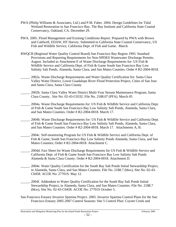- PWA (Philip Williams & Associates, Ltd.) and P.M. Faber. 2004. Design Guidelines for Tidal Wetland Restoration in San Francisco Bay. The Bay Institute and California State Coastal Conservancy, Oakland, CA. December 29.
- PWA. 2005. Flood Management and Existing Conditions Report. Prepared by PWA with Brown and Caldwell, EDAW, HT Harvey. Submitted to California State Coastal Conservancy, US Fish and Wildlife Service, California Dept. of Fish and Game. March.
- RWQCB (Regional Water Quality Control Board) San Francisco Bay Region 1993. Standard Provisions and Reporting Requirements for Non-NPDES Wastewater Discharge Permits. August. Included as Attachment E of Waste Discharge Requirements for: US Fish & Wildlife Service and California Dept. of Fish & Game South San Francisco Bay Low Salinity Salt Ponds, Alameda, Santa Clara, and San Mateo Counties. Order # R2-2004-0018.
- . 2002a. Waste Discharge Requirements and Water Quality Certification for: Santa Clara Valley Water District, Lower Guadalupe River Flood Protection Project, Cities of San Jose and Santa Clara, Santa Clara County
- \_\_\_\_\_. 2002b. Santa Clara Valley Water District Multi-Year Stream Maintenance Program, Santa Clara County.. Site No: 02-43-C0332. File No. 2188.07 (PFA). March 05
- \_\_\_\_\_. 2004a. Waste Discharge Requirements for: US Fish & Wildlife Service and California Dept. of Fish & Game South San Francisco Bay Low Salinity Salt Ponds, Alameda, Santa Clara, and San Mateo Counties. Order # R2-2004-0018. March 17.
- \_\_\_\_\_. 2004b. Waste Discharge Requirements for: US Fish & Wildlife Service and California Dept. of Fish & Game South San Francisco Bay Low Salinity Salt Ponds, Alameda, Santa Clara, and San Mateo Counties. Order # R2-2004-0018. March 17. Attachments A, B.
- 2004c. Self-monitoring Program for US Fish & Wildlife Service and California Dept. of Fish & Game, South San Francisco Bay Low Salinity Ponds Alameda, Santa Clara, and San Mateo Counties; Order # R2-2004-0018. Attachment C.
- \_\_\_\_\_. 2004d. Fact Sheet for Waste Discharge Requirements for US Fish & Wildlife Service and California Dept. of Fish & Game South San Francisco Bay Low Salinity Salt Ponds Alameda & Santa Clara County. Order # R2-2004-0018. Attachment D.
- \_\_\_\_\_. 2004e. Water Quality Certification for the South Bay Salt Ponds Initial Stewardship Project, in Alameda, Santa Clara, and San Mateo Counties. File No. 2188.7 (bkw), Site No. 02-43- C0458. ACOE No: 27701S. May 12.
- \_\_\_\_\_. 2004f. Addendum to Water Quality Certification for the South Bay Salt Ponds Initial Stewardship Project, in Alameda, Santa Clara, and San Mateo Counties. File No. 2188.7 (bkw), Site No. 02-43-C0458. ACOE No: 27701S October 5.
- San Francisco Estuary Invasive Spartina Project. 2005. Invasive Spartina Control Plans for the San Francisco Estuary 2005-2007 Control Seasons: Site 5 Control Plan: Coyote Creek and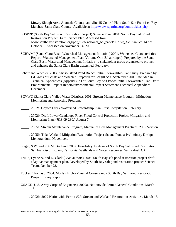Mowry Slough Area, Alameda County; and Site 15 Control Plan: South San Francisco Bay Marshes, Santa Clara County. Available at http://www.spartina.org/control/sites.php

- SBSPRP (South Bay Salt Pond Restoration Project) Science Plan. 2004. South Bay Salt Pond Restoration Project Draft Science Plan. Accessed from www.southbayrestoration.org/pdf\_files/ national\_sci\_panel/03NSP\_ SciPlanOct014.pdf. October 1. Accessed on November 14, 2005.
- SCBWMI (Santa Clara Basin Watershed Management Initiative) 2001. Watershed Characteristics Report. Watershed Management Plan, Volume One (Unabridged). Prepared by the Santa Clara Basin Watershed Management Initiative - a stakeholder group organized to protect and enhance the Santa Clara Basin watershed. February.
- Schaff and Wheeler. 2003. Alviso Island Pond Breach Initial Stewardship Plan Study. Prepared by Ed Gross of Schaff and Wheeler. Prepared for Cargill Salt. September 2003. Included in Technical Appendices (Appendix K) of South Bay Salt Ponds Initial Stewardship Plan Draft Environmental Impact Report/Environmental Impact Statement Technical Appendices. December.
- SCVWD (Santa Clara Valley Water District). 2001. Stream Maintenance Program; Mitigation Monitoring and Reporting Program.
- \_\_\_\_\_. 2002a. Coyote Creek Watershed Stewardship Plan. First Compilation. February.
- \_\_\_\_\_. 2002b. Draft Lower Guadalupe River Flood Control Protection Project Mitigation and Monitoring Plan. (J&S 09-230.) August 7.
- \_\_\_\_\_. 2005a. Stream Maintenance Program, Manual of Best Management Practices. 2005 Version.
- \_\_\_\_\_. 2005b. Tidal Wetland Mitigation/Restoration Project (Island Ponds) Preliminary Design Memorandum. November.
- Siegel, S.W. and P.A.M. Bachand. 2002. Feasibility Analysis of South Bay Salt Pond Restoration, San Francisco Estuary, California. Wetlands and Water Resources, San Rafael, CA.
- Trulio, Lynne A. and D. Clark (Lead authors) 2005. South Bay salt pond restoration project draft adaptive management plan. Developed by South Bay salt pond restoration project Science Team. October 28.
- Tucker, Thomas J. 2004. Moffatt Nichol-Coastal Conservancy South Bay Salt Pond Restoration Project Survey Report.
- USACE (U.S. Army Corps of Engineers). 2002a. Nationwide Permit General Conditions. March 18.
	- \_\_\_\_\_. 2002b. 2002 Nationwide Permit #27: Stream and Wetland Restoration Activities. March 18.

Restoration and Mitigation Monitoring Plan for the Island Ponds Restoration Project February 2006